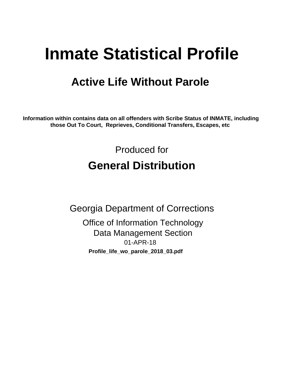# **Inmate Statistical Profile**

## **Active Life Without Parole**

Information within contains data on all offenders with Scribe Status of INMATE, including those Out To Court, Reprieves, Conditional Transfers, Escapes, etc

> Produced for **General Distribution**

**Georgia Department of Corrections Office of Information Technology Data Management Section** 01-APR-18 Profile\_life\_wo\_parole\_2018\_03.pdf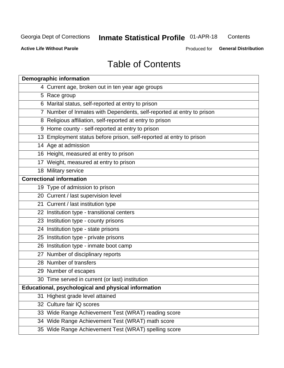#### **Inmate Statistical Profile 01-APR-18** Contents

**Active Life Without Parole** 

Produced for General Distribution

## **Table of Contents**

|    | <b>Demographic information</b>                                        |
|----|-----------------------------------------------------------------------|
|    | 4 Current age, broken out in ten year age groups                      |
|    | 5 Race group                                                          |
|    | 6 Marital status, self-reported at entry to prison                    |
|    | 7 Number of Inmates with Dependents, self-reported at entry to prison |
|    | 8 Religious affiliation, self-reported at entry to prison             |
|    | 9 Home county - self-reported at entry to prison                      |
|    | 13 Employment status before prison, self-reported at entry to prison  |
|    | 14 Age at admission                                                   |
|    | 16 Height, measured at entry to prison                                |
|    | 17 Weight, measured at entry to prison                                |
|    | 18 Military service                                                   |
|    | <b>Correctional information</b>                                       |
|    | 19 Type of admission to prison                                        |
|    | 20 Current / last supervision level                                   |
|    | 21 Current / last institution type                                    |
|    | 22 Institution type - transitional centers                            |
|    | 23 Institution type - county prisons                                  |
|    | 24 Institution type - state prisons                                   |
|    | 25 Institution type - private prisons                                 |
|    | 26 Institution type - inmate boot camp                                |
|    | 27 Number of disciplinary reports                                     |
|    | 28 Number of transfers                                                |
|    | 29 Number of escapes                                                  |
|    | 30 Time served in current (or last) institution                       |
|    | Educational, psychological and physical information                   |
| 31 | Highest grade level attained                                          |
|    | 32 Culture fair IQ scores                                             |
|    | 33 Wide Range Achievement Test (WRAT) reading score                   |
|    | 34 Wide Range Achievement Test (WRAT) math score                      |
|    | 35 Wide Range Achievement Test (WRAT) spelling score                  |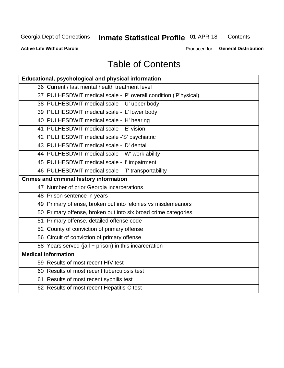## **Inmate Statistical Profile 01-APR-18**

Contents

**Active Life Without Parole** 

Produced for General Distribution

## **Table of Contents**

| Educational, psychological and physical information              |
|------------------------------------------------------------------|
| 36 Current / last mental health treatment level                  |
| 37 PULHESDWIT medical scale - 'P' overall condition ('P'hysical) |
| 38 PULHESDWIT medical scale - 'U' upper body                     |
| 39 PULHESDWIT medical scale - 'L' lower body                     |
| 40 PULHESDWIT medical scale - 'H' hearing                        |
| 41 PULHESDWIT medical scale - 'E' vision                         |
| 42 PULHESDWIT medical scale -'S' psychiatric                     |
| 43 PULHESDWIT medical scale - 'D' dental                         |
| 44 PULHESDWIT medical scale - 'W' work ability                   |
| 45 PULHESDWIT medical scale - 'I' impairment                     |
| 46 PULHESDWIT medical scale - 'T' transportability               |
| <b>Crimes and criminal history information</b>                   |
| 47 Number of prior Georgia incarcerations                        |
| 48 Prison sentence in years                                      |
| 49 Primary offense, broken out into felonies vs misdemeanors     |
| 50 Primary offense, broken out into six broad crime categories   |
| 51 Primary offense, detailed offense code                        |
| 52 County of conviction of primary offense                       |
| 56 Circuit of conviction of primary offense                      |
| 58 Years served (jail + prison) in this incarceration            |
| <b>Medical information</b>                                       |
| 59 Results of most recent HIV test                               |
| 60 Results of most recent tuberculosis test                      |
| 61 Results of most recent syphilis test                          |
| 62 Results of most recent Hepatitis-C test                       |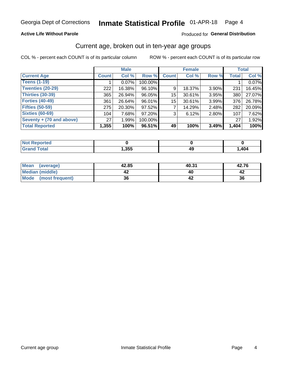### **Active Life Without Parole**

### Produced for General Distribution

## Current age, broken out in ten-year age groups

COL % - percent each COUNT is of its particular column

|                          | <b>Male</b>  |          |         | <b>Female</b> |        |          |              | <b>Total</b> |
|--------------------------|--------------|----------|---------|---------------|--------|----------|--------------|--------------|
| <b>Current Age</b>       | <b>Count</b> | Col %    | Row %   | <b>Count</b>  | Col %  | Row %    | <b>Total</b> | Col %        |
| <b>Teens (1-19)</b>      |              | $0.07\%$ | 100.00% |               |        |          |              | 0.07%        |
| <b>Twenties (20-29)</b>  | 222          | 16.38%   | 96.10%  | 9             | 18.37% | 3.90%    | 231          | 16.45%       |
| Thirties (30-39)         | 365          | 26.94%   | 96.05%  | 15            | 30.61% | 3.95%    | 380          | 27.07%       |
| <b>Forties (40-49)</b>   | 361          | 26.64%   | 96.01%  | 15            | 30.61% | 3.99%    | 376          | 26.78%       |
| <b>Fifties (50-59)</b>   | 275          | 20.30%   | 97.52%  |               | 14.29% | $2.48\%$ | 282          | 20.09%       |
| <b>Sixties (60-69)</b>   | 104          | 7.68%    | 97.20%  | 3             | 6.12%  | 2.80%    | 107          | 7.62%        |
| Seventy + (70 and above) | 27           | 1.99%    | 100.00% |               |        |          | 27           | 1.92%        |
| <b>Total Reported</b>    | 1,355        | 100%     | 96.51%  | 49            | 100%   | 3.49%    | 1,404        | 100%         |

| <b>Continued and</b><br>тек |      |         |      |
|-----------------------------|------|---------|------|
| $f \wedge f \wedge f$       | ,355 | лι<br>╌ | ,404 |

| <b>Mean</b><br>(average) | 42.85 | 40.31 | 42.76 |
|--------------------------|-------|-------|-------|
| Median (middle)          |       |       |       |
| Mode<br>(most frequent)  | 36    |       | 36    |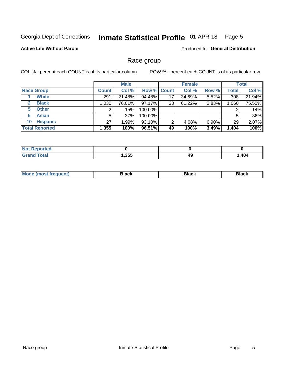#### Inmate Statistical Profile 01-APR-18 Page 5

### **Active Life Without Parole**

Produced for General Distribution

## Race group

COL % - percent each COUNT is of its particular column

|                              | <b>Male</b>  |         |           | <b>Female</b>      |        |          | <b>Total</b> |        |
|------------------------------|--------------|---------|-----------|--------------------|--------|----------|--------------|--------|
| <b>Race Group</b>            | <b>Count</b> | Col %   |           | <b>Row % Count</b> | Col %  | Row %    | Total        | Col %  |
| <b>White</b>                 | 291          | 21.48%  | 94.48%    | 17                 | 34.69% | 5.52%    | 308          | 21.94% |
| <b>Black</b><br>$\mathbf{2}$ | 1,030        | 76.01%  | $97.17\%$ | 30                 | 61.22% | 2.83%    | 1.060        | 75.50% |
| <b>Other</b><br>5.           |              | .15%    | 100.00%   |                    |        |          | 2            | .14%   |
| <b>Asian</b><br>6            | 5            | $.37\%$ | 100.00%   |                    |        |          | 5            | .36%   |
| <b>Hispanic</b><br>10        | 27           | 1.99%   | 93.10%    | 2                  | 4.08%  | $6.90\%$ | 29           | 2.07%  |
| <b>Total Reported</b>        | 1,355        | 100%    | 96.51%    | 49                 | 100%   | 3.49%    | 1,404        | 100%   |

| .<br>te c                         |      |    |                              |
|-----------------------------------|------|----|------------------------------|
| $f$ $f \circ f \circ f$<br>______ | ,355 | 49 | $\Lambda$ 0 $\Lambda$<br>4V4 |

| –•••• |  | M |  |  |  |
|-------|--|---|--|--|--|
|-------|--|---|--|--|--|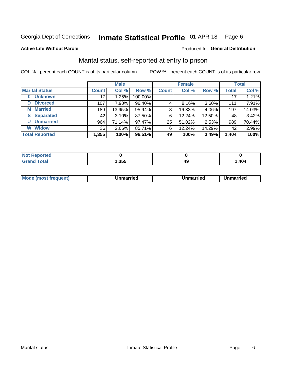#### Inmate Statistical Profile 01-APR-18 Page 6

#### **Active Life Without Parole**

### Produced for General Distribution

## Marital status, self-reported at entry to prison

COL % - percent each COUNT is of its particular column

|                        | <b>Male</b>  |        |         | <b>Female</b> |        |        | <b>Total</b> |        |
|------------------------|--------------|--------|---------|---------------|--------|--------|--------------|--------|
| <b>Marital Status</b>  | <b>Count</b> | Col %  | Row %   | <b>Count</b>  | Col %  | Row %  | <b>Total</b> | Col %  |
| <b>Unknown</b><br>0    | 17           | 1.25%  | 100.00% |               |        |        | 17           | 1.21%  |
| <b>Divorced</b><br>D   | 107          | 7.90%  | 96.40%  | 4             | 8.16%  | 3.60%  | 111          | 7.91%  |
| <b>Married</b><br>М    | 189          | 13.95% | 95.94%  | 8             | 16.33% | 4.06%  | 197          | 14.03% |
| <b>Separated</b><br>S. | 42           | 3.10%  | 87.50%  | 6             | 12.24% | 12.50% | 48           | 3.42%  |
| <b>Unmarried</b><br>U  | 964          | 71.14% | 97.47%  | 25            | 51.02% | 2.53%  | 989          | 70.44% |
| <b>Widow</b><br>W      | 36           | 2.66%  | 85.71%  | 6             | 12.24% | 14.29% | 42           | 2.99%  |
| <b>Total Reported</b>  | 1,355        | 100%   | 96.51%  | 49            | 100%   | 3.49%  | 1,404        | 100%   |

| prted<br>NOT |      |      |      |
|--------------|------|------|------|
| <b>Total</b> | ,355 | 11 L | ,404 |

|  | M | . | Unmarried | າmarried<br>_____ |
|--|---|---|-----------|-------------------|
|--|---|---|-----------|-------------------|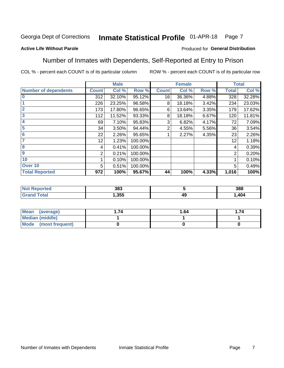#### Inmate Statistical Profile 01-APR-18 Page 7

### **Active Life Without Parole**

### Produced for General Distribution

## Number of Inmates with Dependents, Self-Reported at Entry to Prison

COL % - percent each COUNT is of its particular column

|                             |                 | <b>Male</b> |         |              | <b>Female</b> |       |              | <b>Total</b> |
|-----------------------------|-----------------|-------------|---------|--------------|---------------|-------|--------------|--------------|
| <b>Number of dependents</b> | <b>Count</b>    | Col %       | Row %   | <b>Count</b> | Col %         | Row % | <b>Total</b> | Col %        |
| $\bf{0}$                    | 312             | 32.10%      | 95.12%  | 16           | 36.36%        | 4.88% | 328          | 32.28%       |
|                             | 226             | 23.25%      | 96.58%  | 8            | 18.18%        | 3.42% | 234          | 23.03%       |
| $\overline{2}$              | 173             | 17.80%      | 96.65%  | 6            | 13.64%        | 3.35% | 179          | 17.62%       |
| 3                           | 112             | 11.52%      | 93.33%  | 8            | 18.18%        | 6.67% | 120          | 11.81%       |
| 4                           | 69              | 7.10%       | 95.83%  | 3            | 6.82%         | 4.17% | 72           | 7.09%        |
| 5                           | 34              | 3.50%       | 94.44%  | 2            | 4.55%         | 5.56% | 36           | 3.54%        |
| $6\phantom{1}6$             | 22              | 2.26%       | 95.65%  |              | 2.27%         | 4.35% | 23           | 2.26%        |
| 7                           | 12 <sub>2</sub> | 1.23%       | 100.00% |              |               |       | 12           | 1.18%        |
| $\overline{\mathbf{8}}$     | 4               | 0.41%       | 100.00% |              |               |       | 4            | 0.39%        |
| $\boldsymbol{9}$            | 2               | 0.21%       | 100.00% |              |               |       | 2            | 0.20%        |
| 10                          |                 | 0.10%       | 100.00% |              |               |       |              | 0.10%        |
| Over 10                     | 5               | 0.51%       | 100.00% |              |               |       | 5            | 0.49%        |
| <b>Total Reported</b>       | 972             | 100%        | 95.67%  | 44           | 100%          | 4.33% | 1,016        | 100%         |

| 383  |              | 388   |
|------|--------------|-------|
| .355 | - 71 5<br>ד. | 1,404 |

| Mean (average)          | 74 | 1.64 | . 74 |
|-------------------------|----|------|------|
| <b>Median (middle)</b>  |    |      |      |
| Mode<br>(most frequent) |    |      |      |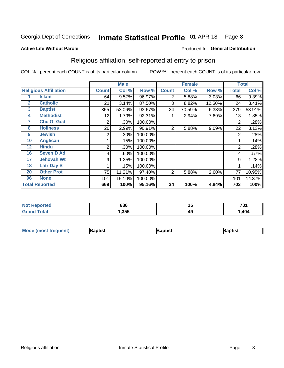#### Inmate Statistical Profile 01-APR-18 Page 8

#### **Active Life Without Parole**

### Produced for General Distribution

## Religious affiliation, self-reported at entry to prison

COL % - percent each COUNT is of its particular column

|              |                              | <b>Male</b>  |        |         |              | <b>Female</b> | <b>Total</b> |                |        |
|--------------|------------------------------|--------------|--------|---------|--------------|---------------|--------------|----------------|--------|
|              | <b>Religious Affiliation</b> | <b>Count</b> | Col %  | Row %   | <b>Count</b> | Col %         | Row %        | <b>Total</b>   | Col %  |
|              | <b>Islam</b>                 | 64           | 9.57%  | 96.97%  | 2            | 5.88%         | 3.03%        | 66             | 9.39%  |
| $\mathbf{2}$ | <b>Catholic</b>              | 21           | 3.14%  | 87.50%  | 3            | 8.82%         | 12.50%       | 24             | 3.41%  |
| 3            | <b>Baptist</b>               | 355          | 53.06% | 93.67%  | 24           | 70.59%        | 6.33%        | 379            | 53.91% |
| 4            | <b>Methodist</b>             | 12           | 1.79%  | 92.31%  |              | 2.94%         | 7.69%        | 13             | 1.85%  |
| 7            | <b>Chc Of God</b>            | 2            | .30%   | 100.00% |              |               |              | 2              | .28%   |
| 8            | <b>Holiness</b>              | 20           | 2.99%  | 90.91%  | 2            | 5.88%         | 9.09%        | 22             | 3.13%  |
| 9            | <b>Jewish</b>                | 2            | .30%   | 100.00% |              |               |              | $\overline{2}$ | .28%   |
| 10           | <b>Anglican</b>              |              | .15%   | 100.00% |              |               |              |                | .14%   |
| 12           | <b>Hindu</b>                 | 2            | .30%   | 100.00% |              |               |              | $\overline{2}$ | .28%   |
| 16           | <b>Seven D Ad</b>            | 4            | .60%   | 100.00% |              |               |              | 4              | .57%   |
| 17           | <b>Jehovah Wt</b>            | 9            | 1.35%  | 100.00% |              |               |              | 9              | 1.28%  |
| 18           | <b>Latr Day S</b>            |              | .15%   | 100.00% |              |               |              |                | .14%   |
| 20           | <b>Other Prot</b>            | 75           | 11.21% | 97.40%  | 2            | 5.88%         | 2.60%        | 77             | 10.95% |
| 96           | <b>None</b>                  | 101          | 15.10% | 100.00% |              |               |              | 101            | 14.37% |
|              | <b>Total Reported</b>        | 669          | 100%   | 95.16%  | 34           | 100%          | 4.84%        | 703            | 100%   |

| rteo<br>$\sim$ | 686  | . .<br> | 701 |
|----------------|------|---------|-----|
|                | ,355 | 49      | 404 |

| <b>Mode (most frequent)</b> | 3aptist | 3aptist | Baptist |
|-----------------------------|---------|---------|---------|
|-----------------------------|---------|---------|---------|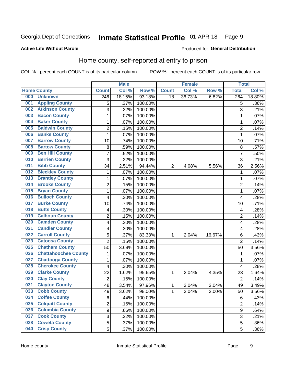#### Inmate Statistical Profile 01-APR-18 Page 9

### **Active Life Without Parole**

### Produced for General Distribution

## Home county, self-reported at entry to prison

COL % - percent each COUNT is of its particular column

|     |                             |                | <b>Male</b> |         |              | <b>Female</b> |        | <b>Total</b>   |                     |
|-----|-----------------------------|----------------|-------------|---------|--------------|---------------|--------|----------------|---------------------|
|     | <b>Home County</b>          | <b>Count</b>   | Col %       | Row %   | <b>Count</b> | Col %         | Row %  | <b>Total</b>   | Col %               |
| 000 | <b>Unknown</b>              | 246            | 18.15%      | 93.18%  | 18           | 36.73%        | 6.82%  | 264            | 18.80%              |
| 001 | <b>Appling County</b>       | 5              | .37%        | 100.00% |              |               |        | 5              | .36%                |
| 002 | <b>Atkinson County</b>      | 3              | .22%        | 100.00% |              |               |        | 3              | .21%                |
| 003 | <b>Bacon County</b>         | 1              | .07%        | 100.00% |              |               |        | 1              | .07%                |
| 004 | <b>Baker County</b>         | $\mathbf 1$    | .07%        | 100.00% |              |               |        | 1              | .07%                |
| 005 | <b>Baldwin County</b>       | $\overline{c}$ | .15%        | 100.00% |              |               |        | $\overline{2}$ | .14%                |
| 006 | <b>Banks County</b>         | $\mathbf{1}$   | .07%        | 100.00% |              |               |        | 1              | .07%                |
| 007 | <b>Barrow County</b>        | 10             | .74%        | 100.00% |              |               |        | 10             | .71%                |
| 008 | <b>Bartow County</b>        | 8              | .59%        | 100.00% |              |               |        | 8              | .57%                |
| 009 | <b>Ben Hill County</b>      | $\overline{7}$ | .52%        | 100.00% |              |               |        | 7              | .50%                |
| 010 | <b>Berrien County</b>       | 3              | .22%        | 100.00% |              |               |        | 3              | .21%                |
| 011 | <b>Bibb County</b>          | 34             | 2.51%       | 94.44%  | 2            | 4.08%         | 5.56%  | 36             | 2.56%               |
| 012 | <b>Bleckley County</b>      | 1              | .07%        | 100.00% |              |               |        | 1              | .07%                |
| 013 | <b>Brantley County</b>      | 1              | .07%        | 100.00% |              |               |        | 1              | .07%                |
| 014 | <b>Brooks County</b>        | $\overline{2}$ | .15%        | 100.00% |              |               |        | $\overline{2}$ | .14%                |
| 015 | <b>Bryan County</b>         | 1              | .07%        | 100.00% |              |               |        | 1              | .07%                |
| 016 | <b>Bulloch County</b>       | 4              | .30%        | 100.00% |              |               |        | 4              | .28%                |
| 017 | <b>Burke County</b>         | 10             | .74%        | 100.00% |              |               |        | 10             | .71%                |
| 018 | <b>Butts County</b>         | 4              | .30%        | 100.00% |              |               |        | 4              | .28%                |
| 019 | <b>Calhoun County</b>       | $\overline{2}$ | .15%        | 100.00% |              |               |        | $\overline{2}$ | .14%                |
| 020 | <b>Camden County</b>        | 4              | .30%        | 100.00% |              |               |        | 4              | .28%                |
| 021 | <b>Candler County</b>       | 4              | .30%        | 100.00% |              |               |        | 4              | .28%                |
| 022 | <b>Carroll County</b>       | 5              | .37%        | 83.33%  | 1            | 2.04%         | 16.67% | 6              | .43%                |
| 023 | <b>Catoosa County</b>       | $\overline{2}$ | .15%        | 100.00% |              |               |        | $\overline{2}$ | .14%                |
| 025 | <b>Chatham County</b>       | 50             | 3.69%       | 100.00% |              |               |        | 50             | 3.56%               |
| 026 | <b>Chattahoochee County</b> | 1              | .07%        | 100.00% |              |               |        | 1              | .07%                |
| 027 | <b>Chattooga County</b>     | 1              | .07%        | 100.00% |              |               |        | 1              | .07%                |
| 028 | <b>Cherokee County</b>      | 4              | .30%        | 100.00% |              |               |        | 4              | .28%                |
| 029 | <b>Clarke County</b>        | 22             | 1.62%       | 95.65%  | 1            | 2.04%         | 4.35%  | 23             | $\overline{1.64\%}$ |
| 030 | <b>Clay County</b>          | $\overline{2}$ | .15%        | 100.00% |              |               |        | $\overline{2}$ | .14%                |
| 031 | <b>Clayton County</b>       | 48             | 3.54%       | 97.96%  | 1            | 2.04%         | 2.04%  | 49             | 3.49%               |
| 033 | <b>Cobb County</b>          | 49             | 3.62%       | 98.00%  | 1            | 2.04%         | 2.00%  | 50             | 3.56%               |
| 034 | <b>Coffee County</b>        | 6              | .44%        | 100.00% |              |               |        | 6              | .43%                |
| 035 | <b>Colquitt County</b>      | $\overline{2}$ | .15%        | 100.00% |              |               |        | $\overline{2}$ | .14%                |
| 036 | <b>Columbia County</b>      | 9              | .66%        | 100.00% |              |               |        | $\mathsf g$    | .64%                |
| 037 | <b>Cook County</b>          | 3              | .22%        | 100.00% |              |               |        | 3              | .21%                |
| 038 | <b>Coweta County</b>        | 5              | .37%        | 100.00% |              |               |        | 5              | .36%                |
| 040 | <b>Crisp County</b>         | 5              | .37%        | 100.00% |              |               |        | 5              | $.36\%$             |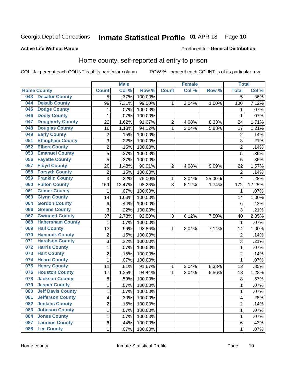#### Inmate Statistical Profile 01-APR-18 Page 10

### **Active Life Without Parole**

#### Produced for General Distribution

## Home county, self-reported at entry to prison

COL % - percent each COUNT is of its particular column

|     |                          |                         | <b>Male</b> |         |                | <b>Female</b> |        | <b>Total</b>   |        |
|-----|--------------------------|-------------------------|-------------|---------|----------------|---------------|--------|----------------|--------|
|     | <b>Home County</b>       | <b>Count</b>            | Col %       | Row %   | <b>Count</b>   | Col%          | Row %  | <b>Total</b>   | Col %  |
| 043 | <b>Decatur County</b>    | 5                       | .37%        | 100.00% |                |               |        | 5              | .36%   |
| 044 | <b>Dekalb County</b>     | 99                      | 7.31%       | 99.00%  | 1              | 2.04%         | 1.00%  | 100            | 7.12%  |
| 045 | <b>Dodge County</b>      | 1                       | .07%        | 100.00% |                |               |        | 1              | .07%   |
| 046 | <b>Dooly County</b>      | $\mathbf 1$             | .07%        | 100.00% |                |               |        | 1              | .07%   |
| 047 | <b>Dougherty County</b>  | 22                      | 1.62%       | 91.67%  | $\overline{2}$ | 4.08%         | 8.33%  | 24             | 1.71%  |
| 048 | <b>Douglas County</b>    | 16                      | 1.18%       | 94.12%  | $\mathbf 1$    | 2.04%         | 5.88%  | 17             | 1.21%  |
| 049 | <b>Early County</b>      | 2                       | .15%        | 100.00% |                |               |        | $\overline{2}$ | .14%   |
| 051 | <b>Effingham County</b>  | 3                       | .22%        | 100.00% |                |               |        | 3              | .21%   |
| 052 | <b>Elbert County</b>     | $\overline{c}$          | .15%        | 100.00% |                |               |        | $\overline{2}$ | .14%   |
| 053 | <b>Emanuel County</b>    | 5                       | .37%        | 100.00% |                |               |        | 5              | .36%   |
| 056 | <b>Fayette County</b>    | 5                       | .37%        | 100.00% |                |               |        | 5              | .36%   |
| 057 | <b>Floyd County</b>      | 20                      | 1.48%       | 90.91%  | $\overline{2}$ | 4.08%         | 9.09%  | 22             | 1.57%  |
| 058 | <b>Forsyth County</b>    | $\overline{c}$          | .15%        | 100.00% |                |               |        | $\overline{2}$ | .14%   |
| 059 | <b>Franklin County</b>   | 3                       | .22%        | 75.00%  | 1              | 2.04%         | 25.00% | 4              | .28%   |
| 060 | <b>Fulton County</b>     | 169                     | 12.47%      | 98.26%  | 3              | 6.12%         | 1.74%  | 172            | 12.25% |
| 061 | <b>Gilmer County</b>     | 1                       | .07%        | 100.00% |                |               |        | 1              | .07%   |
| 063 | <b>Glynn County</b>      | 14                      | 1.03%       | 100.00% |                |               |        | 14             | 1.00%  |
| 064 | <b>Gordon County</b>     | 6                       | .44%        | 100.00% |                |               |        | $\,6$          | .43%   |
| 066 | <b>Greene County</b>     | 3                       | .22%        | 100.00% |                |               |        | 3              | .21%   |
| 067 | <b>Gwinnett County</b>   | 37                      | 2.73%       | 92.50%  | 3              | 6.12%         | 7.50%  | 40             | 2.85%  |
| 068 | <b>Habersham County</b>  | 1                       | .07%        | 100.00% |                |               |        | 1              | .07%   |
| 069 | <b>Hall County</b>       | 13                      | .96%        | 92.86%  | 1              | 2.04%         | 7.14%  | 14             | 1.00%  |
| 070 | <b>Hancock County</b>    | 2                       | .15%        | 100.00% |                |               |        | $\overline{2}$ | .14%   |
| 071 | <b>Haralson County</b>   | 3                       | .22%        | 100.00% |                |               |        | 3              | .21%   |
| 072 | <b>Harris County</b>     | $\mathbf 1$             | .07%        | 100.00% |                |               |        | 1              | .07%   |
| 073 | <b>Hart County</b>       | $\overline{c}$          | .15%        | 100.00% |                |               |        | $\overline{2}$ | .14%   |
| 074 | <b>Heard County</b>      | 1                       | .07%        | 100.00% |                |               |        | 1              | .07%   |
| 075 | <b>Henry County</b>      | 11                      | .81%        | 91.67%  | 1              | 2.04%         | 8.33%  | 12             | .85%   |
| 076 | <b>Houston County</b>    | 17                      | 1.25%       | 94.44%  | 1              | 2.04%         | 5.56%  | 18             | 1.28%  |
| 078 | <b>Jackson County</b>    | 8                       | .59%        | 100.00% |                |               |        | 8              | .57%   |
| 079 | <b>Jasper County</b>     | $\mathbf{1}$            | .07%        | 100.00% |                |               |        | 1              | .07%   |
| 080 | <b>Jeff Davis County</b> | 1                       | .07%        | 100.00% |                |               |        | 1              | .07%   |
| 081 | <b>Jefferson County</b>  | $\overline{\mathbf{4}}$ | .30%        | 100.00% |                |               |        | 4              | .28%   |
| 082 | <b>Jenkins County</b>    | $\overline{2}$          | .15%        | 100.00% |                |               |        | 2              | .14%   |
| 083 | <b>Johnson County</b>    | $\mathbf{1}$            | .07%        | 100.00% |                |               |        | 1              | .07%   |
| 084 | <b>Jones County</b>      | $\mathbf 1$             | .07%        | 100.00% |                |               |        | 1              | .07%   |
| 087 | <b>Laurens County</b>    | 6                       | .44%        | 100.00% |                |               |        | 6              | .43%   |
| 088 | <b>Lee County</b>        | $\mathbf{1}$            | .07%        | 100.00% |                |               |        | 1              | .07%   |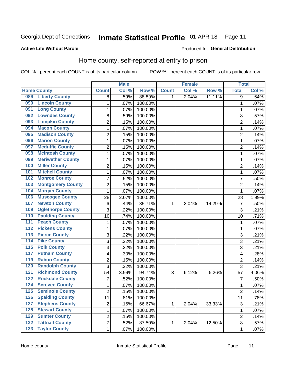#### Inmate Statistical Profile 01-APR-18 Page 11

### **Active Life Without Parole**

#### Produced for General Distribution

## Home county, self-reported at entry to prison

COL % - percent each COUNT is of its particular column

|                  |                          |                         | <b>Male</b> |         |              | <b>Female</b> |        | <b>Total</b>   |       |
|------------------|--------------------------|-------------------------|-------------|---------|--------------|---------------|--------|----------------|-------|
|                  | <b>Home County</b>       | <b>Count</b>            | Col%        | Row %   | <b>Count</b> | Col %         | Row %  | <b>Total</b>   | Col % |
| 089              | <b>Liberty County</b>    | 8                       | .59%        | 88.89%  | 1            | 2.04%         | 11.11% | 9              | .64%  |
| 090              | <b>Lincoln County</b>    | 1                       | .07%        | 100.00% |              |               |        | 1              | .07%  |
| 091              | <b>Long County</b>       | 1                       | .07%        | 100.00% |              |               |        | 1              | .07%  |
| 092              | <b>Lowndes County</b>    | 8                       | .59%        | 100.00% |              |               |        | 8              | .57%  |
| 093              | <b>Lumpkin County</b>    | $\overline{2}$          | .15%        | 100.00% |              |               |        | $\overline{2}$ | .14%  |
| 094              | <b>Macon County</b>      | $\mathbf{1}$            | .07%        | 100.00% |              |               |        | 1              | .07%  |
| 095              | <b>Madison County</b>    | $\overline{2}$          | .15%        | 100.00% |              |               |        | $\overline{c}$ | .14%  |
| 096              | <b>Marion County</b>     | $\mathbf{1}$            | .07%        | 100.00% |              |               |        | 1              | .07%  |
| 097              | <b>Mcduffie County</b>   | $\overline{2}$          | .15%        | 100.00% |              |               |        | $\overline{c}$ | .14%  |
| 098              | <b>Mcintosh County</b>   | 1                       | .07%        | 100.00% |              |               |        | 1              | .07%  |
| 099              | <b>Meriwether County</b> | 1                       | .07%        | 100.00% |              |               |        | 1              | .07%  |
| 100              | <b>Miller County</b>     | $\overline{2}$          | .15%        | 100.00% |              |               |        | $\overline{2}$ | .14%  |
| 101              | <b>Mitchell County</b>   | $\mathbf 1$             | .07%        | 100.00% |              |               |        | 1              | .07%  |
| 102              | <b>Monroe County</b>     | $\overline{7}$          | .52%        | 100.00% |              |               |        | 7              | .50%  |
| 103              | <b>Montgomery County</b> | $\overline{2}$          | .15%        | 100.00% |              |               |        | $\overline{2}$ | .14%  |
| 104              | <b>Morgan County</b>     | $\mathbf{1}$            | .07%        | 100.00% |              |               |        | 1              | .07%  |
| 106              | <b>Muscogee County</b>   | 28                      | 2.07%       | 100.00% |              |               |        | 28             | 1.99% |
| 107              | <b>Newton County</b>     | 6                       | .44%        | 85.71%  | 1            | 2.04%         | 14.29% | 7              | .50%  |
| 109              | <b>Oglethorpe County</b> | 3                       | .22%        | 100.00% |              |               |        | 3              | .21%  |
| 110              | <b>Paulding County</b>   | 10                      | .74%        | 100.00% |              |               |        | 10             | .71%  |
| 111              | <b>Peach County</b>      | 1                       | .07%        | 100.00% |              |               |        | 1              | .07%  |
| $\overline{112}$ | <b>Pickens County</b>    | $\mathbf{1}$            | .07%        | 100.00% |              |               |        | 1              | .07%  |
| $\overline{113}$ | <b>Pierce County</b>     | 3                       | .22%        | 100.00% |              |               |        | 3              | .21%  |
| 114              | <b>Pike County</b>       | 3                       | .22%        | 100.00% |              |               |        | 3              | .21%  |
| $\overline{115}$ | <b>Polk County</b>       | 3                       | .22%        | 100.00% |              |               |        | 3              | .21%  |
| 117              | <b>Putnam County</b>     | 4                       | .30%        | 100.00% |              |               |        | 4              | .28%  |
| 119              | <b>Rabun County</b>      | $\overline{2}$          | .15%        | 100.00% |              |               |        | $\overline{2}$ | .14%  |
| 120              | <b>Randolph County</b>   | 3                       | .22%        | 100.00% |              |               |        | 3              | .21%  |
| $121$            | <b>Richmond County</b>   | 54                      | 3.99%       | 94.74%  | 3            | 6.12%         | 5.26%  | 57             | 4.06% |
| 122              | <b>Rockdale County</b>   | $\overline{7}$          | .52%        | 100.00% |              |               |        | 7              | .50%  |
| 124              | <b>Screven County</b>    | 1                       | .07%        | 100.00% |              |               |        | 1              | .07%  |
| 125              | <b>Seminole County</b>   | 2                       | .15%        | 100.00% |              |               |        | 2              | .14%  |
| 126              | <b>Spalding County</b>   | 11                      | .81%        | 100.00% |              |               |        | 11             | .78%  |
| $127$            | <b>Stephens County</b>   | $\overline{2}$          | .15%        | 66.67%  | $\mathbf{1}$ | 2.04%         | 33.33% | 3              | .21%  |
| 128              | <b>Stewart County</b>    | $\mathbf{1}$            | .07%        | 100.00% |              |               |        | 1              | .07%  |
| 129              | <b>Sumter County</b>     | $\overline{c}$          | .15%        | 100.00% |              |               |        | 2              | .14%  |
| $\overline{132}$ | <b>Tattnall County</b>   | $\overline{\mathbf{7}}$ | .52%        | 87.50%  | $\mathbf{1}$ | 2.04%         | 12.50% | 8              | .57%  |
| $\overline{133}$ | <b>Taylor County</b>     | $\mathbf 1$             | $.07\%$     | 100.00% |              |               |        | 1              | .07%  |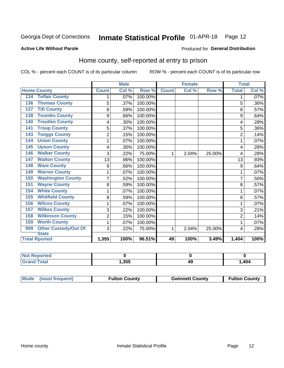#### Inmate Statistical Profile 01-APR-18 Page 12

### **Active Life Without Parole**

#### Produced for General Distribution

## Home county, self-reported at entry to prison

COL % - percent each COUNT is of its particular column

|                                    | <b>Male</b>    |       | <b>Female</b> |              |       | <b>Total</b> |                |         |
|------------------------------------|----------------|-------|---------------|--------------|-------|--------------|----------------|---------|
| <b>Home County</b>                 | <b>Count</b>   | Col % | Row %         | <b>Count</b> | Col % | Row %        | <b>Total</b>   | Col %   |
| <b>Telfair County</b><br>134       | 1              | .07%  | 100.00%       |              |       |              | 1              | $.07\%$ |
| <b>Thomas County</b><br>136        | 5              | .37%  | 100.00%       |              |       |              | 5              | .36%    |
| <b>Tift County</b><br>137          | 8              | .59%  | 100.00%       |              |       |              | 8              | .57%    |
| <b>Toombs County</b><br>138        | 9              | .66%  | 100.00%       |              |       |              | 9              | .64%    |
| <b>Treutlen County</b><br>140      | 4              | .30%  | 100.00%       |              |       |              | 4              | .28%    |
| <b>Troup County</b><br>141         | 5              | .37%  | 100.00%       |              |       |              | 5              | .36%    |
| <b>Twiggs County</b><br>143        | $\overline{2}$ | .15%  | 100.00%       |              |       |              | $\overline{2}$ | .14%    |
| <b>Union County</b><br>144         | 1              | .07%  | 100.00%       |              |       |              | 1              | .07%    |
| <b>Upson County</b><br>145         | 4              | .30%  | 100.00%       |              |       |              | 4              | .28%    |
| <b>Walker County</b><br>146        | 3              | .22%  | 75.00%        | 1            | 2.04% | 25.00%       | 4              | .28%    |
| <b>Walton County</b><br>147        | 13             | .96%  | 100.00%       |              |       |              | 13             | .93%    |
| <b>Ware County</b><br>148          | 9              | .66%  | 100.00%       |              |       |              | 9              | .64%    |
| <b>Warren County</b><br>149        | 1              | .07%  | 100.00%       |              |       |              |                | .07%    |
| <b>Washington County</b><br>150    | $\overline{7}$ | .52%  | 100.00%       |              |       |              | 7              | .50%    |
| <b>Wayne County</b><br>151         | 8              | .59%  | 100.00%       |              |       |              | 8              | .57%    |
| <b>White County</b><br>154         | 1              | .07%  | 100.00%       |              |       |              | 1              | .07%    |
| <b>Whitfield County</b><br>155     | 8              | .59%  | 100.00%       |              |       |              | 8              | .57%    |
| <b>Wilcox County</b><br>156        | 1              | .07%  | 100.00%       |              |       |              | 1              | .07%    |
| <b>Wilkes County</b><br>157        | 3              | .22%  | 100.00%       |              |       |              | 3              | .21%    |
| <b>Wilkinson County</b><br>158     | $\overline{2}$ | .15%  | 100.00%       |              |       |              | $\overline{2}$ | .14%    |
| <b>Worth County</b><br>159         | 1              | .07%  | 100.00%       |              |       |              |                | .07%    |
| <b>Other Custody/Out Of</b><br>999 | 3              | .22%  | 75.00%        | 1            | 2.04% | 25.00%       | 4              | .28%    |
| <b>State</b>                       |                |       |               |              |       |              |                |         |
| <b>Total Rported</b>               | 1,355          | 100%  | 96.51%        | 49           | 100%  | 3.49%        | 1,404          | 100%    |

| rted<br><b>NOT</b> |       |    |       |
|--------------------|-------|----|-------|
| <b>c</b> otal      | 1,355 | 49 | 1,404 |

| Mode (most frequent)<br><b>Fulton County</b> | <b>Gwinnett County</b> | <b>Fulton County</b> |
|----------------------------------------------|------------------------|----------------------|
|----------------------------------------------|------------------------|----------------------|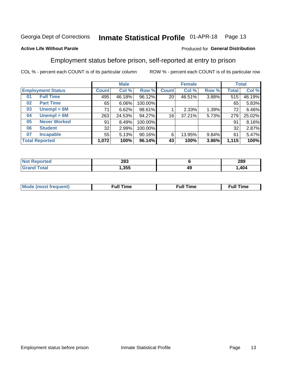#### Inmate Statistical Profile 01-APR-18 Page 13

### **Active Life Without Parole**

### Produced for General Distribution

## Employment status before prison, self-reported at entry to prison

COL % - percent each COUNT is of its particular column

|                           | <b>Male</b>  |        |         | <b>Female</b>   |        |       | <b>Total</b> |        |
|---------------------------|--------------|--------|---------|-----------------|--------|-------|--------------|--------|
| <b>Employment Status</b>  | <b>Count</b> | Col %  | Row %   | <b>Count</b>    | Col %  | Row % | Total        | Col %  |
| <b>Full Time</b><br>01    | 495          | 46.18% | 96.12%  | 20              | 46.51% | 3.88% | 515          | 46.19% |
| <b>Part Time</b><br>02    | 65           | 6.06%  | 100.00% |                 |        |       | 65           | 5.83%  |
| Unempl $<$ 6M<br>03       | 71           | 6.62%  | 98.61%  |                 | 2.33%  | 1.39% | 72           | 6.46%  |
| Unempl > 6M<br>04         | 263          | 24.53% | 94.27%  | 16 <sub>1</sub> | 37.21% | 5.73% | 279          | 25.02% |
| <b>Never Worked</b><br>05 | 91           | 8.49%  | 100.00% |                 |        |       | 91           | 8.16%  |
| <b>Student</b><br>06      | 32           | 2.99%  | 100.00% |                 |        |       | 32           | 2.87%  |
| <b>Incapable</b><br>07    | 55           | 5.13%  | 90.16%  | 6               | 13.95% | 9.84% | 61           | 5.47%  |
| <b>Total Reported</b>     | 1,072        | 100%   | 96.14%  | 43              | 100%   | 3.86% | 1,115        | 100%   |

| тео<br>NOI | 283  |    | 289  |
|------------|------|----|------|
|            | .355 | 49 | ,404 |

| Mc | ∙u∥<br>----<br>ıme | ίuΙ<br>Πmε |
|----|--------------------|------------|
|    |                    |            |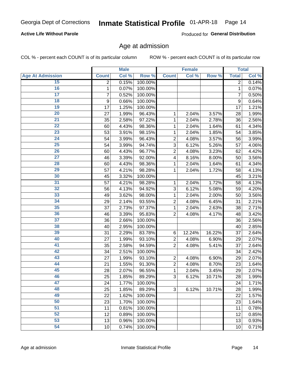## **Active Life Without Parole**

Produced for General Distribution

## Age at admission

COL % - percent each COUNT is of its particular column

|                         |              | <b>Male</b> |         |                | <b>Female</b> |        |                | <b>Total</b> |
|-------------------------|--------------|-------------|---------|----------------|---------------|--------|----------------|--------------|
| <b>Age At Admission</b> | <b>Count</b> | Col %       | Row %   | <b>Count</b>   | Col %         | Row %  | <b>Total</b>   | Col %        |
| 15                      | 2            | 0.15%       | 100.00% |                |               |        | 2              | 0.14%        |
| 16                      | 1            | 0.07%       | 100.00% |                |               |        | 1              | 0.07%        |
| $\overline{17}$         | 7            | 0.52%       | 100.00% |                |               |        | $\overline{7}$ | 0.50%        |
| 18                      | 9            | 0.66%       | 100.00% |                |               |        | 9              | 0.64%        |
| 19                      | 17           | 1.25%       | 100.00% |                |               |        | 17             | 1.21%        |
| $\overline{20}$         | 27           | 1.99%       | 96.43%  | 1              | 2.04%         | 3.57%  | 28             | 1.99%        |
| 21                      | 35           | 2.58%       | 97.22%  | 1              | 2.04%         | 2.78%  | 36             | 2.56%        |
| 22                      | 60           | 4.43%       | 98.36%  | 1              | 2.04%         | 1.64%  | 61             | 4.34%        |
| 23                      | 53           | 3.91%       | 98.15%  | 1              | 2.04%         | 1.85%  | 54             | 3.85%        |
| 24                      | 54           | 3.99%       | 96.43%  | $\overline{2}$ | 4.08%         | 3.57%  | 56             | 3.99%        |
| $\overline{25}$         | 54           | 3.99%       | 94.74%  | 3              | 6.12%         | 5.26%  | 57             | 4.06%        |
| 26                      | 60           | 4.43%       | 96.77%  | $\overline{2}$ | 4.08%         | 3.23%  | 62             | 4.42%        |
| $\overline{27}$         | 46           | 3.39%       | 92.00%  | 4              | 8.16%         | 8.00%  | 50             | 3.56%        |
| 28                      | 60           | 4.43%       | 98.36%  | 1              | 2.04%         | 1.64%  | 61             | 4.34%        |
| 29                      | 57           | 4.21%       | 98.28%  | 1              | 2.04%         | 1.72%  | 58             | 4.13%        |
| 30                      | 45           | 3.32%       | 100.00% |                |               |        | 45             | 3.21%        |
| 31                      | 57           | 4.21%       | 98.28%  | 1              | 2.04%         | 1.72%  | 58             | 4.13%        |
| 32                      | 56           | 4.13%       | 94.92%  | 3              | 6.12%         | 5.08%  | 59             | 4.20%        |
| 33                      | 49           | 3.62%       | 98.00%  | 1              | 2.04%         | 2.00%  | 50             | 3.56%        |
| 34                      | 29           | 2.14%       | 93.55%  | $\overline{2}$ | 4.08%         | 6.45%  | 31             | 2.21%        |
| 35                      | 37           | 2.73%       | 97.37%  | 1              | 2.04%         | 2.63%  | 38             | 2.71%        |
| 36                      | 46           | 3.39%       | 95.83%  | $\overline{2}$ | 4.08%         | 4.17%  | 48             | 3.42%        |
| $\overline{37}$         | 36           | 2.66%       | 100.00% |                |               |        | 36             | 2.56%        |
| 38                      | 40           | 2.95%       | 100.00% |                |               |        | 40             | 2.85%        |
| 39                      | 31           | 2.29%       | 83.78%  | 6              | 12.24%        | 16.22% | 37             | 2.64%        |
| 40                      | 27           | 1.99%       | 93.10%  | $\overline{2}$ | 4.08%         | 6.90%  | 29             | 2.07%        |
| 41                      | 35           | 2.58%       | 94.59%  | $\overline{2}$ | 4.08%         | 5.41%  | 37             | 2.64%        |
| 42                      | 34           | 2.51%       | 100.00% |                |               |        | 34             | 2.42%        |
| 43                      | 27           | 1.99%       | 93.10%  | $\overline{2}$ | 4.08%         | 6.90%  | 29             | 2.07%        |
| 44                      | 21           | 1.55%       | 91.30%  | $\overline{2}$ | 4.08%         | 8.70%  | 23             | 1.64%        |
| 45                      | 28           | 2.07%       | 96.55%  | 1              | 2.04%         | 3.45%  | 29             | 2.07%        |
| 46                      | 25           | 1.85%       | 89.29%  | 3              | 6.12%         | 10.71% | 28             | 1.99%        |
| 47                      | 24           | 1.77%       | 100.00% |                |               |        | 24             | 1.71%        |
| 48                      | 25           | 1.85%       | 89.29%  | 3              | 6.12%         | 10.71% | 28             | 1.99%        |
| 49                      | 22           | 1.62%       | 100.00% |                |               |        | 22             | 1.57%        |
| 50                      | 23           | 1.70%       | 100.00% |                |               |        | 23             | 1.64%        |
| $\overline{51}$         | 11           | 0.81%       | 100.00% |                |               |        | 11             | 0.78%        |
| 52                      | 12           | 0.89%       | 100.00% |                |               |        | 12             | 0.85%        |
| 53                      | 13           | 0.96%       | 100.00% |                |               |        | 13             | 0.93%        |
| 54                      | 10           | 0.74%       | 100.00% |                |               |        | 10             | 0.71%        |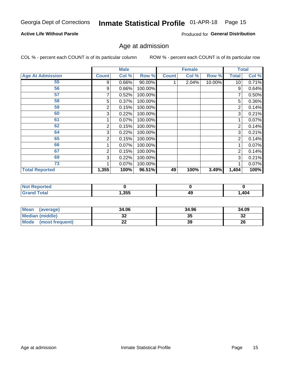#### Inmate Statistical Profile 01-APR-18 Page 15

## **Active Life Without Parole**

Produced for General Distribution

## Age at admission

COL % - percent each COUNT is of its particular column

|                         |              | <b>Male</b> |         |              | <b>Female</b> |        |       | <b>Total</b> |
|-------------------------|--------------|-------------|---------|--------------|---------------|--------|-------|--------------|
| <b>Age At Admission</b> | <b>Count</b> | Col %       | Row %   | <b>Count</b> | Col %         | Row %  | Total | Col %        |
| 55                      | 9            | 0.66%       | 90.00%  |              | 2.04%         | 10.00% | 10    | 0.71%        |
| 56                      | 9            | 0.66%       | 100.00% |              |               |        | 9     | 0.64%        |
| 57                      |              | 0.52%       | 100.00% |              |               |        |       | 0.50%        |
| 58                      | 5            | 0.37%       | 100.00% |              |               |        | 5     | 0.36%        |
| 59                      | 2            | 0.15%       | 100.00% |              |               |        | 2     | 0.14%        |
| 60                      | 3            | 0.22%       | 100.00% |              |               |        | 3     | 0.21%        |
| 61                      |              | 0.07%       | 100.00% |              |               |        |       | 0.07%        |
| 62                      | 2            | 0.15%       | 100.00% |              |               |        | 2     | 0.14%        |
| 64                      | 3            | 0.22%       | 100.00% |              |               |        | 3     | 0.21%        |
| 65                      | 2            | 0.15%       | 100.00% |              |               |        | 2     | 0.14%        |
| 66                      |              | 0.07%       | 100.00% |              |               |        |       | 0.07%        |
| 67                      | 2            | 0.15%       | 100.00% |              |               |        | 2     | 0.14%        |
| 69                      | 3            | 0.22%       | 100.00% |              |               |        | 3     | 0.21%        |
| 73                      |              | 0.07%       | 100.00% |              |               |        |       | 0.07%        |
| <b>Total Reported</b>   | 1,355        | 100%        | 96.51%  | 49           | 100%          | 3.49%  | 1,404 | 100%         |

| <b>Not</b><br><b>Reported</b> |       |    |      |
|-------------------------------|-------|----|------|
| <b>Total</b><br>Crops.        | 1,355 | 49 | ,404 |

| <b>Mean</b><br>(average) | 34.06 | 34.96 | 34.09     |
|--------------------------|-------|-------|-----------|
| Median (middle)          | JZ    | 35    | o c<br>34 |
| Mode<br>(most frequent)  | --    | 39    | 26        |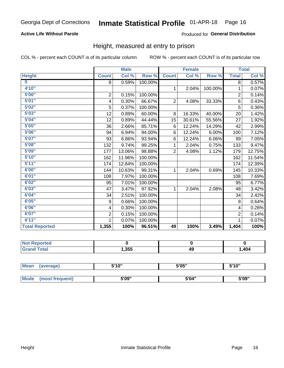## **Active Life Without Parole**

### Produced for General Distribution

## Height, measured at entry to prison

COL % - percent each COUNT is of its particular column

|                       |                | <b>Male</b> |         |                | <b>Female</b> |         |                | <b>Total</b> |
|-----------------------|----------------|-------------|---------|----------------|---------------|---------|----------------|--------------|
| <b>Height</b>         | <b>Count</b>   | Col %       | Row %   | <b>Count</b>   | Col %         | Row %   | <b>Total</b>   | Col %        |
| $\bf{0}$              | 8              | 0.59%       | 100.00% |                |               |         | 8              | 0.57%        |
| 4'10''                |                |             |         | $\mathbf{1}$   | 2.04%         | 100.00% | 1              | 0.07%        |
| 5'00''                | $\mathbf 2$    | 0.15%       | 100.00% |                |               |         | $\overline{2}$ | 0.14%        |
| 5'01"                 | 4              | 0.30%       | 66.67%  | $\overline{2}$ | 4.08%         | 33.33%  | 6              | 0.43%        |
| 5'02"                 | 5              | 0.37%       | 100.00% |                |               |         | 5              | 0.36%        |
| 5'03''                | 12             | 0.89%       | 60.00%  | 8              | 16.33%        | 40.00%  | 20             | 1.42%        |
| 5'04"                 | 12             | 0.89%       | 44.44%  | 15             | 30.61%        | 55.56%  | 27             | 1.92%        |
| 5'05"                 | 36             | 2.66%       | 85.71%  | 6              | 12.24%        | 14.29%  | 42             | 2.99%        |
| 5'06''                | 94             | 6.94%       | 94.00%  | 6              | 12.24%        | 6.00%   | 100            | 7.12%        |
| 5'07''                | 93             | 6.86%       | 93.94%  | 6              | 12.24%        | 6.06%   | 99             | 7.05%        |
| 5'08''                | 132            | 9.74%       | 99.25%  | 1              | 2.04%         | 0.75%   | 133            | 9.47%        |
| 5'09''                | 177            | 13.06%      | 98.88%  | $\overline{2}$ | 4.08%         | 1.12%   | 179            | 12.75%       |
| 5'10''                | 162            | 11.96%      | 100.00% |                |               |         | 162            | 11.54%       |
| 5'11"                 | 174            | 12.84%      | 100.00% |                |               |         | 174            | 12.39%       |
| 6'00''                | 144            | 10.63%      | 99.31%  | 1.             | 2.04%         | 0.69%   | 145            | 10.33%       |
| 6'01''                | 108            | 7.97%       | 100.00% |                |               |         | 108            | 7.69%        |
| 6'02"                 | 95             | 7.01%       | 100.00% |                |               |         | 95             | 6.77%        |
| 6'03''                | 47             | 3.47%       | 97.92%  | $\mathbf{1}$   | 2.04%         | 2.08%   | 48             | 3.42%        |
| 6'04"                 | 34             | 2.51%       | 100.00% |                |               |         | 34             | 2.42%        |
| 6'05"                 | 9              | 0.66%       | 100.00% |                |               |         | 9              | 0.64%        |
| 6'06''                | 4              | 0.30%       | 100.00% |                |               |         | 4              | 0.28%        |
| 6'07''                | $\overline{2}$ | 0.15%       | 100.00% |                |               |         | $\overline{2}$ | 0.14%        |
| 6'11''                | 1              | 0.07%       | 100.00% |                |               |         | 1              | 0.07%        |
| <b>Total Reported</b> | 1,355          | 100%        | 96.51%  | 49             | 100%          | 3.49%   | 1,404          | 100%         |

| eported     |       |    |      |
|-------------|-------|----|------|
| <b>otal</b> | 1,355 | 49 | ,404 |

| <b>Mean</b> | (average)       | 5'10" | 5'05" | 5'10'' |  |
|-------------|-----------------|-------|-------|--------|--|
|             |                 |       |       |        |  |
| <b>Mode</b> | (most frequent) | 5'09" | 5'04" | 5'09"  |  |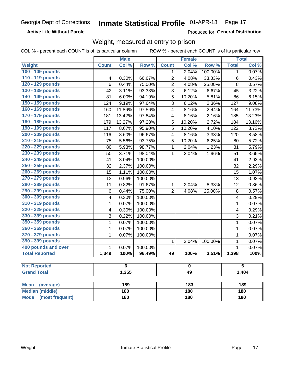**Active Life Without Parole** 

Produced for General Distribution

## Weight, measured at entry to prison

COL % - percent each COUNT is of its particular column

|                                |                 | <b>Male</b> |         |                         | <b>Female</b>           |         |                | <b>Total</b> |  |
|--------------------------------|-----------------|-------------|---------|-------------------------|-------------------------|---------|----------------|--------------|--|
| Weight                         | <b>Count</b>    | Col %       | Row %   | <b>Count</b>            | Col %                   | Row %   | <b>Total</b>   | Col %        |  |
| 100 - 109 pounds               |                 |             |         | $\mathbf{1}$            | 2.04%                   | 100.00% | $\overline{1}$ | 0.07%        |  |
| 110 - 119 pounds               | 4               | 0.30%       | 66.67%  | $\overline{2}$          | 4.08%                   | 33.33%  | 6              | 0.43%        |  |
| 120 - 129 pounds               | 6               | 0.44%       | 75.00%  | $\overline{c}$          | 4.08%                   | 25.00%  | 8              | 0.57%        |  |
| 130 - 139 pounds               | $\overline{42}$ | 3.11%       | 93.33%  | 3                       | 6.12%                   | 6.67%   | 45             | 3.22%        |  |
| 140 - 149 pounds               | 81              | 6.00%       | 94.19%  | 5                       | 10.20%                  | 5.81%   | 86             | 6.15%        |  |
| 150 - 159 pounds               | 124             | 9.19%       | 97.64%  | 3                       | 6.12%                   | 2.36%   | 127            | 9.08%        |  |
| 160 - 169 pounds               | 160             | 11.86%      | 97.56%  | $\overline{\mathbf{4}}$ | 8.16%                   | 2.44%   | 164            | 11.73%       |  |
| 170 - 179 pounds               | 181             | 13.42%      | 97.84%  | $\overline{\mathbf{4}}$ | 8.16%                   | 2.16%   | 185            | 13.23%       |  |
| 180 - 189 pounds               | 179             | 13.27%      | 97.28%  | 5                       | 10.20%                  | 2.72%   | 184            | 13.16%       |  |
| 190 - 199 pounds               | 117             | 8.67%       | 95.90%  | 5                       | 10.20%                  | 4.10%   | 122            | 8.73%        |  |
| 200 - 209 pounds               | 116             | 8.60%       | 96.67%  | $\overline{\mathbf{4}}$ | 8.16%                   | 3.33%   | 120            | 8.58%        |  |
| 210 - 219 pounds               | 75              | 5.56%       | 93.75%  | 5                       | 10.20%                  | 6.25%   | 80             | 5.72%        |  |
| 220 - 229 pounds               | 80              | 5.93%       | 98.77%  | 1                       | 2.04%                   | 1.23%   | 81             | 5.79%        |  |
| 230 - 239 pounds               | $\overline{50}$ | 3.71%       | 98.04%  | $\mathbf{1}$            | 2.04%                   | 1.96%   | 51             | 3.65%        |  |
| 240 - 249 pounds               | 41              | 3.04%       | 100.00% |                         |                         |         | 41             | 2.93%        |  |
| 250 - 259 pounds               | 32              | 2.37%       | 100.00% |                         |                         |         | 32             | 2.29%        |  |
| 260 - 269 pounds               | 15              | 1.11%       | 100.00% |                         |                         |         | 15             | 1.07%        |  |
| 270 - 279 pounds               | 13              | 0.96%       | 100.00% |                         |                         |         | 13             | 0.93%        |  |
| 280 - 289 pounds               | 11              | 0.82%       | 91.67%  | $\mathbf{1}$            | 2.04%                   | 8.33%   | 12             | 0.86%        |  |
| 290 - 299 pounds               | $\,6$           | 0.44%       | 75.00%  | $\overline{2}$          | 4.08%                   | 25.00%  | 8              | 0.57%        |  |
| 300 - 309 pounds               | 4               | 0.30%       | 100.00% |                         |                         |         | 4              | 0.29%        |  |
| 310 - 319 pounds               | 1               | 0.07%       | 100.00% |                         |                         |         | $\mathbf{1}$   | 0.07%        |  |
| 320 - 329 pounds               | 4               | 0.30%       | 100.00% |                         |                         |         | 4              | 0.29%        |  |
| 330 - 339 pounds               | 3               | 0.22%       | 100.00% |                         |                         |         | 3              | 0.21%        |  |
| 350 - 359 pounds               | 1               | 0.07%       | 100.00% |                         |                         |         | $\mathbf{1}$   | 0.07%        |  |
| 360 - 369 pounds               | $\mathbf{1}$    | 0.07%       | 100.00% |                         |                         |         | $\mathbf{1}$   | 0.07%        |  |
| 370 - 379 pounds               | 1               | 0.07%       | 100.00% |                         |                         |         | $\mathbf{1}$   | 0.07%        |  |
| 390 - 399 pounds               |                 |             |         | $\mathbf{1}$            | 2.04%                   | 100.00% | $\mathbf 1$    | 0.07%        |  |
| 400 pounds and over            | $\mathbf{1}$    | 0.07%       | 100.00% |                         |                         |         | $\mathbf{1}$   | 0.07%        |  |
| <b>Total Reported</b>          | 1,349           | 100%        | 96.49%  | 49                      | 100%                    | 3.51%   | 1,398          | 100%         |  |
|                                |                 |             |         |                         |                         |         |                |              |  |
| <b>Not Reported</b>            |                 | 6           |         |                         | $\overline{\mathbf{0}}$ |         |                | 6            |  |
| <b>Grand Total</b>             |                 | 1,355       |         |                         | 49                      |         |                | 1,404        |  |
| <b>Mean</b><br>(average)       |                 | 189         |         |                         | $\overline{183}$        |         |                | 189          |  |
| <b>Median (middle)</b>         |                 | 180         |         |                         | 180                     |         |                | 180          |  |
| <b>Mode</b><br>(most frequent) |                 | 180         |         | 180                     |                         |         | 180            |              |  |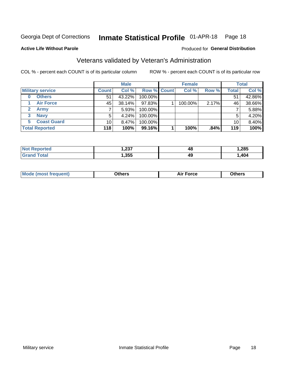#### Inmate Statistical Profile 01-APR-18 Page 18

Produced for General Distribution

## **Active Life Without Parole**

## Veterans validated by Veteran's Administration

COL % - percent each COUNT is of its particular column

|                          |                 | <b>Male</b> |                    | <b>Female</b> |       |              | <b>Total</b> |
|--------------------------|-----------------|-------------|--------------------|---------------|-------|--------------|--------------|
| <b>Military service</b>  | <b>Count</b>    | Col %       | <b>Row % Count</b> | Col %         | Row % | <b>Total</b> | Col %        |
| <b>Others</b><br>0       | 51              | 43.22%      | 100.00%            |               |       | 51           | 42.86%       |
| <b>Air Force</b>         | 45              | 38.14%      | 97.83%             | 100.00%       | 2.17% | 46           | 38.66%       |
| <b>Army</b>              |                 | 5.93%       | 100.00%            |               |       |              | 5.88%        |
| <b>Navy</b><br>3         | 5               | 4.24%       | 100.00%            |               |       | 5            | 4.20%        |
| <b>Coast Guard</b><br>5. | 10 <sub>1</sub> | $8.47\%$    | 100.00%            |               |       | 10           | 8.40%        |
| <b>Total Reported</b>    | 118             | 100%        | 99.16%             | 100%          | .84%  | 119          | 100%         |

| ົດລອ<br>ו טבו<br>$- - -$ | 48 | ,285 |
|--------------------------|----|------|
| ,355                     | 49 | ,404 |

| Mo | <b>\thers</b><br>____ | -nrce<br>^ ''<br>. | 146ara<br>____ |
|----|-----------------------|--------------------|----------------|
|    |                       |                    |                |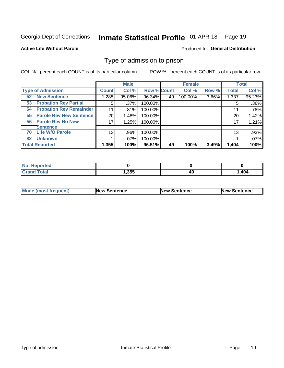#### Inmate Statistical Profile 01-APR-18 Page 19

**Active Life Without Parole** 

Produced for General Distribution

## Type of admission to prison

COL % - percent each COUNT is of its particular column

|                                      |                 | <b>Male</b> |                    |    | <b>Female</b> |       |              | <b>Total</b> |
|--------------------------------------|-----------------|-------------|--------------------|----|---------------|-------|--------------|--------------|
| <b>Type of Admission</b>             | <b>Count</b>    | Col %       | <b>Row % Count</b> |    | Col %         | Row % | <b>Total</b> | Col %        |
| <b>New Sentence</b><br>52            | 1,288           | 95.06%      | 96.34%             | 49 | 100.00%       | 3.66% | 1,337        | 95.23%       |
| <b>Probation Rev Partial</b><br>53   | 5               | $.37\%$     | 100.00%            |    |               |       | 5            | .36%         |
| <b>Probation Rev Remainder</b><br>54 | 11              | .81%        | 100.00%            |    |               |       | 11           | .78%         |
| <b>Parole Rev New Sentence</b><br>55 | 20              | 1.48%       | 100.00%            |    |               |       | 20           | 1.42%        |
| <b>Parole Rev No New</b><br>56       | 17              | 1.25%       | 100.00%            |    |               |       | 17           | 1.21%        |
| <b>Sentence</b>                      |                 |             |                    |    |               |       |              |              |
| <b>Life W/O Parole</b><br>70         | 13 <sub>1</sub> | .96%        | 100.00%            |    |               |       | 13           | .93%         |
| <b>Unknown</b><br>82                 |                 | $.07\%$     | 100.00%            |    |               |       |              | .07%         |
| <b>Total Reported</b>                | 1,355           | 100%        | 96.51%             | 49 | 100%          | 3.49% | 1,404        | 100%         |

| Reported<br><b>NOT</b> |        |          |      |
|------------------------|--------|----------|------|
| <b>c</b> otal<br>Gra   | 355، ، | AС<br>᠇┙ | ,404 |

| Mode (most frequent) | <b>New Sentence</b> | <b>New Sentence</b> | <b>New Sentence</b> |
|----------------------|---------------------|---------------------|---------------------|
|                      |                     |                     |                     |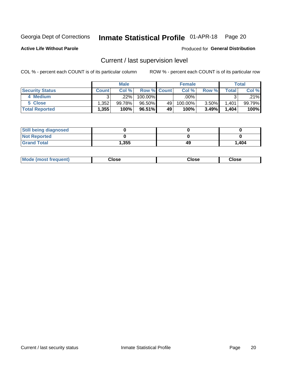## Inmate Statistical Profile 01-APR-18 Page 20

**Active Life Without Parole** 

### Produced for General Distribution

## Current / last supervision level

COL % - percent each COUNT is of its particular column

|                        |              | <b>Male</b> |                    |    | <b>Female</b> |       |       | Total  |
|------------------------|--------------|-------------|--------------------|----|---------------|-------|-------|--------|
| <b>Security Status</b> | <b>Count</b> | Col%        | <b>Row % Count</b> |    | Col %         | Row % | Total | Col %  |
| 4 Medium               |              | .22%        | 100.00%            |    | .00% '        |       |       | .21%   |
| 5 Close                | .352         | $99.78\%$   | 96.50%             | 49 | 100.00%       | 3.50% | 1,401 | 99.79% |
| <b>Total Reported</b>  | 1,355        | 100%        | 96.51%             | 49 | 100%          | 3.49% | 1,404 | 100%   |

| <b>Still being diagnosed</b> |       |    |       |
|------------------------------|-------|----|-------|
| <b>Not Reported</b>          |       |    |       |
| <b>Grand Total</b>           | 1,355 | 49 | 1,404 |

| <b>Mode (most frequent)</b> | Close | ∵lose | Close |
|-----------------------------|-------|-------|-------|
|                             |       |       |       |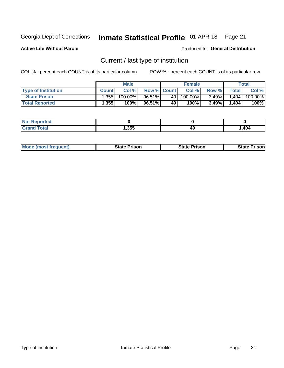#### Inmate Statistical Profile 01-APR-18 Page 21

**Active Life Without Parole** 

Produced for General Distribution

## Current / last type of institution

COL % - percent each COUNT is of its particular column

|                            |              | <b>Male</b> |                    |    | <b>Female</b> |          |              | Total   |
|----------------------------|--------------|-------------|--------------------|----|---------------|----------|--------------|---------|
| <b>Type of Institution</b> | <b>Count</b> | Col %       | <b>Row % Count</b> |    | Col %         | Row %    | <b>Total</b> | Col %   |
| <b>State Prison</b>        | 1,355        | $100.00\%$  | 96.51%             | 49 | $100.00\%$    | $3.49\%$ | 1,404        | 100.00% |
| <b>Total Reported</b>      | 1,355        | 100%        | 96.51%I            | 49 | 100%          | $3.49\%$ | 1,404        | 100%    |

| τeα<br>$\sim$ |      |    |      |
|---------------|------|----|------|
|               | ,355 | 49 | ,404 |

|  | <b>Mode (most frequent)</b> | State Prison | <b>State Prison</b> | <b>State Prison</b> |
|--|-----------------------------|--------------|---------------------|---------------------|
|--|-----------------------------|--------------|---------------------|---------------------|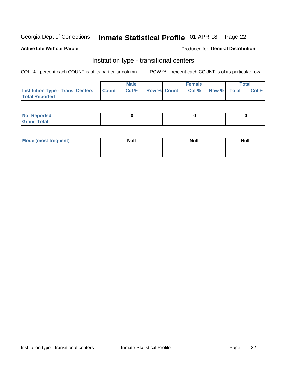#### Inmate Statistical Profile 01-APR-18 Page 22

## **Active Life Without Parole**

### Produced for General Distribution

## Institution type - transitional centers

COL % - percent each COUNT is of its particular column

|                                          |              | <b>Male</b> |                    | <b>Female</b> |             | <b>Total</b> |
|------------------------------------------|--------------|-------------|--------------------|---------------|-------------|--------------|
| <b>Institution Type - Trans. Centers</b> | <b>Count</b> | CoI%        | <b>Row % Count</b> | Col %         | Row % Total | Col %        |
| <b>Total Reported</b>                    |              |             |                    |               |             |              |

| <b>Reported</b><br><b>NOT</b><br>$\sim$            |  |  |
|----------------------------------------------------|--|--|
| $f$ $f \circ f \circ f$<br>$C = 1$<br><b>TULAI</b> |  |  |

| Mode (most frequent) | <b>Null</b> | <b>Null</b> | <b>Null</b> |
|----------------------|-------------|-------------|-------------|
|                      |             |             |             |
|                      |             |             |             |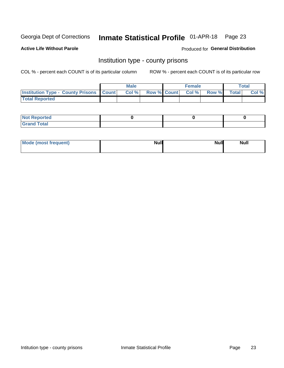## Inmate Statistical Profile 01-APR-18 Page 23

**Active Life Without Parole** 

Produced for General Distribution

## Institution type - county prisons

COL % - percent each COUNT is of its particular column

|                                                    | <b>Male</b> |       |  | <b>Female</b> |                          |             | <b>Total</b> |       |
|----------------------------------------------------|-------------|-------|--|---------------|--------------------------|-------------|--------------|-------|
| <b>Institution Type - County Prisons   Count  </b> |             | Col % |  |               | <b>Row % Count Col %</b> | Row % Total |              | Col % |
| <b>Total Reported</b>                              |             |       |  |               |                          |             |              |       |

| <b>Not Reported</b>   |  |  |
|-----------------------|--|--|
| <b>Total</b><br>Granc |  |  |

| Mode (most frequent) | <b>Null</b> | <b>Null</b><br><b>Null</b> |
|----------------------|-------------|----------------------------|
|                      |             |                            |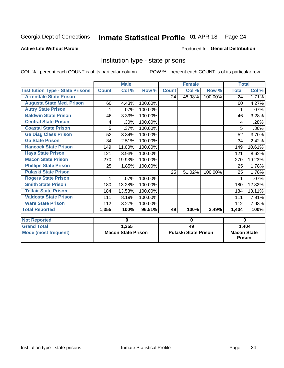## Inmate Statistical Profile 01-APR-18 Page 24

#### **Active Life Without Parole**

## **Produced for General Distribution**

## Institution type - state prisons

|                                         | <b>Male</b>               |        |         | <b>Female</b>               |        |         | <b>Total</b>                        |        |
|-----------------------------------------|---------------------------|--------|---------|-----------------------------|--------|---------|-------------------------------------|--------|
| <b>Institution Type - State Prisons</b> | <b>Count</b>              | Col %  | Row %   | <b>Count</b>                | Col %  | Row %   | <b>Total</b>                        | Col %  |
| <b>Arrendale State Prison</b>           |                           |        |         | 24                          | 48.98% | 100.00% | 24                                  | 1.71%  |
| <b>Augusta State Med. Prison</b>        | 60                        | 4.43%  | 100.00% |                             |        |         | 60                                  | 4.27%  |
| <b>Autry State Prison</b>               |                           | .07%   | 100.00% |                             |        |         |                                     | .07%   |
| <b>Baldwin State Prison</b>             | 46                        | 3.39%  | 100.00% |                             |        |         | 46                                  | 3.28%  |
| <b>Central State Prison</b>             | 4                         | .30%   | 100.00% |                             |        |         | 4                                   | .28%   |
| <b>Coastal State Prison</b>             | 5                         | .37%   | 100.00% |                             |        |         | 5                                   | .36%   |
| <b>Ga Diag Class Prison</b>             | 52                        | 3.84%  | 100.00% |                             |        |         | 52                                  | 3.70%  |
| <b>Ga State Prison</b>                  | 34                        | 2.51%  | 100.00% |                             |        |         | 34                                  | 2.42%  |
| <b>Hancock State Prison</b>             | 149                       | 11.00% | 100.00% |                             |        |         | 149                                 | 10.61% |
| <b>Hays State Prison</b>                | 121                       | 8.93%  | 100.00% |                             |        |         | 121                                 | 8.62%  |
| <b>Macon State Prison</b>               | 270                       | 19.93% | 100.00% |                             |        |         | 270                                 | 19.23% |
| <b>Phillips State Prison</b>            | 25                        | 1.85%  | 100.00% |                             |        |         | 25                                  | 1.78%  |
| <b>Pulaski State Prison</b>             |                           |        |         | 25                          | 51.02% | 100.00% | 25                                  | 1.78%  |
| <b>Rogers State Prison</b>              | 1                         | .07%   | 100.00% |                             |        |         |                                     | .07%   |
| <b>Smith State Prison</b>               | 180                       | 13.28% | 100.00% |                             |        |         | 180                                 | 12.82% |
| <b>Telfair State Prison</b>             | 184                       | 13.58% | 100.00% |                             |        |         | 184                                 | 13.11% |
| <b>Valdosta State Prison</b>            | 111                       | 8.19%  | 100.00% |                             |        |         | 111                                 | 7.91%  |
| <b>Ware State Prison</b>                | 112                       | 8.27%  | 100.00% |                             |        |         | 112                                 | 7.98%  |
| <b>Total Reported</b>                   | 1,355                     | 100%   | 96.51%  | 49                          | 100%   | 3.49%   | 1,404                               | 100%   |
| <b>Not Reported</b>                     |                           | 0      |         | 0                           |        |         | $\bf{0}$                            |        |
| <b>Grand Total</b>                      |                           | 1,355  |         | 49                          |        |         |                                     | 1,404  |
| <b>Mode (most frequent)</b>             | <b>Macon State Prison</b> |        |         | <b>Pulaski State Prison</b> |        |         | <b>Macon State</b><br><b>Prison</b> |        |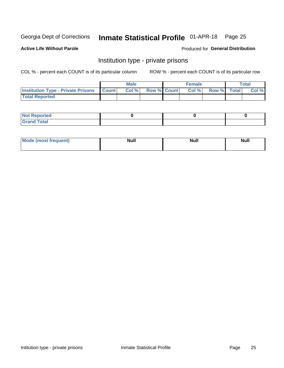## Inmate Statistical Profile 01-APR-18 Page 25

#### **Active Life Without Parole**

#### Produced for General Distribution

## Institution type - private prisons

COL % - percent each COUNT is of its particular column

|                                                 | <b>Male</b> |       |                    | <b>Female</b> |       |             | Total |       |
|-------------------------------------------------|-------------|-------|--------------------|---------------|-------|-------------|-------|-------|
| <b>Institution Type - Private Prisons Count</b> |             | Col % | <b>Row % Count</b> |               | Col % | Row % Total |       | Col % |
| <b>Total Reported</b>                           |             |       |                    |               |       |             |       |       |

| Not Reported          |  |  |
|-----------------------|--|--|
| <b>Cotal</b><br>_____ |  |  |

| <b>Mo</b><br>frequent) | <b>Null</b> | <b>Null</b> | . . I *<br><b>IVUII</b> |
|------------------------|-------------|-------------|-------------------------|
|                        |             |             |                         |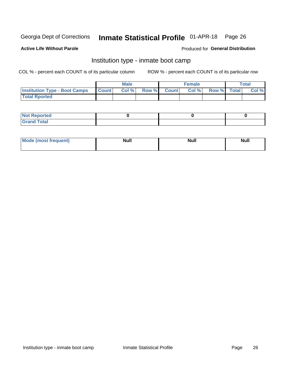#### Inmate Statistical Profile 01-APR-18 Page 26

#### **Active Life Without Parole**

### Produced for General Distribution

## Institution type - inmate boot camp

COL % - percent each COUNT is of its particular column

|                                      | <b>Male</b>  |       |               |              | <b>Female</b> | <b>Total</b> |  |       |
|--------------------------------------|--------------|-------|---------------|--------------|---------------|--------------|--|-------|
| <b>Institution Type - Boot Camps</b> | <b>Count</b> | Col % | <b>Row %I</b> | <b>Count</b> | Col %         | Row % Total  |  | Col % |
| <b>Total Rported</b>                 |              |       |               |              |               |              |  |       |

| <b>Not Reported</b>            |  |  |
|--------------------------------|--|--|
| <b>Total</b><br>C <sub>r</sub> |  |  |

| Mod<br>uamo | Nul.<br>$- - - - - -$ | <b>Null</b> | . .<br>uu.<br>------ |
|-------------|-----------------------|-------------|----------------------|
|             |                       |             |                      |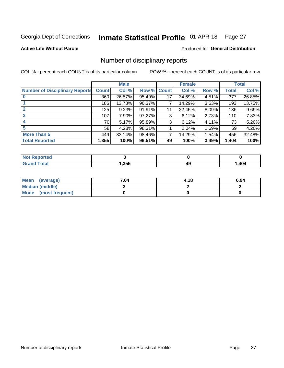#### Inmate Statistical Profile 01-APR-18 Page 27

**Active Life Without Parole** 

Produced for General Distribution

## Number of disciplinary reports

COL % - percent each COUNT is of its particular column

|                                       | <b>Male</b>  |        |             | <b>Female</b> |        |          | <b>Total</b> |        |
|---------------------------------------|--------------|--------|-------------|---------------|--------|----------|--------------|--------|
| <b>Number of Disciplinary Reports</b> | <b>Count</b> | Col %  | Row % Count |               | Col %  | Row %    | Total        | Col %  |
|                                       | 360          | 26.57% | 95.49%      | 17            | 34.69% | 4.51%    | 377          | 26.85% |
|                                       | 186          | 13.73% | 96.37%      |               | 14.29% | 3.63%    | 193          | 13.75% |
|                                       | 125          | 9.23%  | 91.91%      | 11            | 22.45% | $8.09\%$ | 136          | 9.69%  |
| 3                                     | 107          | 7.90%  | 97.27%      | 3             | 6.12%  | 2.73%    | 110          | 7.83%  |
|                                       | 70           | 5.17%  | 95.89%      | 3             | 6.12%  | 4.11%    | 73           | 5.20%  |
| 5                                     | 58           | 4.28%  | 98.31%      |               | 2.04%  | 1.69%    | 59           | 4.20%  |
| <b>More Than 5</b>                    | 449          | 33.14% | 98.46%      | 7             | 14.29% | 1.54%    | 456          | 32.48% |
| <b>Total Reported</b>                 | 1,355        | 100%   | 96.51%      | 49            | 100%   | 3.49%    | 1,404        | 100%   |

| NO<br>тео |      |    |      |
|-----------|------|----|------|
| Гоtal     | ,355 | 49 | ,404 |

| Mean (average)       | 7.04 | 4.18 | 6.94 |
|----------------------|------|------|------|
| Median (middle)      |      |      |      |
| Mode (most frequent) |      |      |      |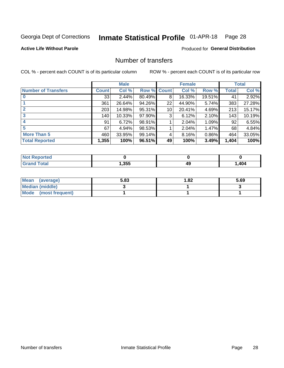## Inmate Statistical Profile 01-APR-18 Page 28

### **Active Life Without Parole**

## **Produced for General Distribution**

## Number of transfers

COL % - percent each COUNT is of its particular column

|                            |         | <b>Male</b> |        |                 | <b>Female</b> |        |              | <b>Total</b> |
|----------------------------|---------|-------------|--------|-----------------|---------------|--------|--------------|--------------|
| <b>Number of Transfers</b> | Count l | Col %       | Row %  | <b>Count</b>    | Col %         | Row %  | <b>Total</b> | Col %        |
|                            | 33      | 2.44%       | 80.49% | 8               | 16.33%        | 19.51% | 41           | 2.92%        |
|                            | 361     | 26.64%      | 94.26% | 22              | 44.90%        | 5.74%  | 383          | 27.28%       |
| 2                          | 203     | 14.98%      | 95.31% | 10 <sup>1</sup> | 20.41%        | 4.69%  | 213          | 15.17%       |
| 3                          | 140     | 10.33%      | 97.90% | 3               | 6.12%         | 2.10%  | 143          | 10.19%       |
|                            | 91      | 6.72%       | 98.91% |                 | 2.04%         | 1.09%  | 92           | 6.55%        |
| 5                          | 67      | 4.94%       | 98.53% |                 | 2.04%         | 1.47%  | 68           | 4.84%        |
| <b>More Than 5</b>         | 460     | 33.95%      | 99.14% | 4               | 8.16%         | 0.86%  | 464          | 33.05%       |
| <b>Total Reported</b>      | 1,355   | 100%        | 96.51% | 49              | 100%          | 3.49%  | 1,404        | 100%         |

| orted<br>NO  |      |    |      |
|--------------|------|----|------|
| <b>Total</b> | ,355 | 49 | ,404 |

| Mean (average)         | 5.83 | 1.82 | 5.69 |
|------------------------|------|------|------|
| <b>Median (middle)</b> |      |      |      |
| Mode (most frequent)   |      |      |      |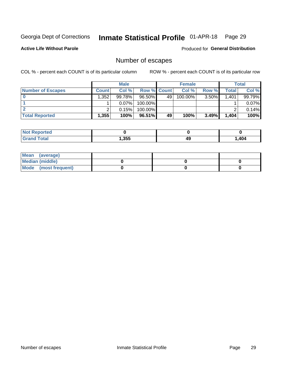## Inmate Statistical Profile 01-APR-18 Page 29

**Active Life Without Parole** 

Produced for General Distribution

## Number of escapes

COL % - percent each COUNT is of its particular column

|                          | <b>Male</b>  |          |                    | <b>Female</b> |            |          | Total |        |
|--------------------------|--------------|----------|--------------------|---------------|------------|----------|-------|--------|
| <b>Number of Escapes</b> | <b>Count</b> | Col %    | <b>Row % Count</b> |               | Col %      | Row %    | Total | Col %  |
|                          | .352         | 99.78%   | 96.50%             | 49            | $100.00\%$ | $3.50\%$ | 1,401 | 99.79% |
|                          |              | $0.07\%$ | 100.00%            |               |            |          |       | 0.07%  |
|                          |              | 0.15%    | 100.00%            |               |            |          |       | 0.14%  |
| <b>Total Reported</b>    | $.355^+$     | 100%     | 96.51%             | 49            | 100%       | 3.49%    | 1,404 | 100%   |

| <b>Reported</b><br><b>NOT</b> |       |    |     |
|-------------------------------|-------|----|-----|
| <b>Total</b>                  | 1,355 | 49 | 404 |

| Mean (average)       |  |  |
|----------------------|--|--|
| Median (middle)      |  |  |
| Mode (most frequent) |  |  |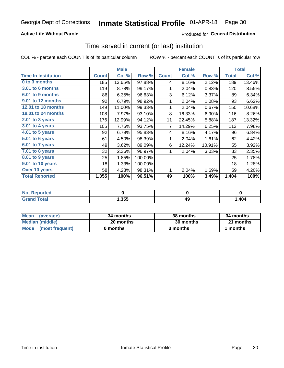## **Active Life Without Parole**

## **Produced for General Distribution**

## Time served in current (or last) institution

COL % - percent each COUNT is of its particular column

|                            |              | <b>Male</b> |         |              | <b>Female</b> |        | <b>Total</b> |        |
|----------------------------|--------------|-------------|---------|--------------|---------------|--------|--------------|--------|
| <b>Time In Institution</b> | <b>Count</b> | Col %       | Row %   | <b>Count</b> | Col %         | Row %  | <b>Total</b> | Col %  |
| 0 to 3 months              | 185          | 13.65%      | 97.88%  | 4            | 8.16%         | 2.12%  | 189          | 13.46% |
| <b>3.01 to 6 months</b>    | 119          | 8.78%       | 99.17%  | 1            | 2.04%         | 0.83%  | 120          | 8.55%  |
| 6.01 to 9 months           | 86           | 6.35%       | 96.63%  | 3            | 6.12%         | 3.37%  | 89           | 6.34%  |
| 9.01 to 12 months          | 92           | 6.79%       | 98.92%  | 1            | 2.04%         | 1.08%  | 93           | 6.62%  |
| 12.01 to 18 months         | 149          | 11.00%      | 99.33%  | 1            | 2.04%         | 0.67%  | 150          | 10.68% |
| <b>18.01 to 24 months</b>  | 108          | 7.97%       | 93.10%  | 8            | 16.33%        | 6.90%  | 116          | 8.26%  |
| $2.01$ to 3 years          | 176          | 12.99%      | 94.12%  | 11           | 22.45%        | 5.88%  | 187          | 13.32% |
| $3.01$ to 4 years          | 105          | 7.75%       | 93.75%  | 7            | 14.29%        | 6.25%  | 112          | 7.98%  |
| 4.01 to 5 years            | 92           | 6.79%       | 95.83%  | 4            | 8.16%         | 4.17%  | 96           | 6.84%  |
| 5.01 to 6 years            | 61           | 4.50%       | 98.39%  | 1            | 2.04%         | 1.61%  | 62           | 4.42%  |
| 6.01 to 7 years            | 49           | 3.62%       | 89.09%  | 6            | 12.24%        | 10.91% | 55           | 3.92%  |
| 7.01 to 8 years            | 32           | 2.36%       | 96.97%  | 1            | 2.04%         | 3.03%  | 33           | 2.35%  |
| 8.01 to 9 years            | 25           | 1.85%       | 100.00% |              |               |        | 25           | 1.78%  |
| 9.01 to 10 years           | 18           | 1.33%       | 100.00% |              |               |        | 18           | 1.28%  |
| Over 10 years              | 58           | 4.28%       | 98.31%  | 1            | 2.04%         | 1.69%  | 59           | 4.20%  |
| <b>Total Reported</b>      | 1,355        | 100%        | 96.51%  | 49           | 100%          | 3.49%  | 1,404        | 100%   |

| Reported<br>NOT F      |       |    |      |
|------------------------|-------|----|------|
| $f \wedge f \wedge f'$ | 1,355 | 49 | ,404 |

| <b>Mean</b><br>(average) | 34 months | 38 months | 34 months |
|--------------------------|-----------|-----------|-----------|
| Median (middle)          | 20 months | 30 months | 21 months |
| Mode (most frequent)     | 0 months  | 3 months  | 1 months  |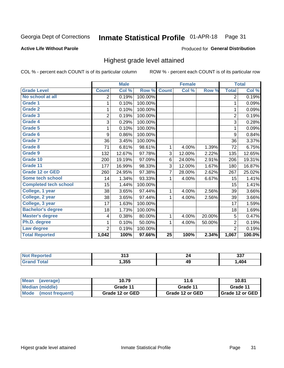#### Inmate Statistical Profile 01-APR-18 Page 31

#### **Active Life Without Parole**

#### Produced for General Distribution

## Highest grade level attained

COL % - percent each COUNT is of its particular column

|                              |                | <b>Male</b> |         |                 | <b>Female</b> |        |                | <b>Total</b> |
|------------------------------|----------------|-------------|---------|-----------------|---------------|--------|----------------|--------------|
| <b>Grade Level</b>           | <b>Count</b>   | Col %       | Row %   | <b>Count</b>    | Col %         | Row %  | <b>Total</b>   | Col %        |
| No school at all             | $\overline{2}$ | 0.19%       | 100.00% |                 |               |        | 2              | 0.19%        |
| <b>Grade 1</b>               | 1              | 0.10%       | 100.00% |                 |               |        | 1              | 0.09%        |
| <b>Grade 2</b>               | 1              | 0.10%       | 100.00% |                 |               |        | 1              | 0.09%        |
| <b>Grade 3</b>               | $\overline{2}$ | 0.19%       | 100.00% |                 |               |        | $\overline{2}$ | 0.19%        |
| <b>Grade 4</b>               | 3              | 0.29%       | 100.00% |                 |               |        | 3              | 0.28%        |
| Grade 5                      | 1              | 0.10%       | 100.00% |                 |               |        | 1              | 0.09%        |
| Grade 6                      | 9              | 0.86%       | 100.00% |                 |               |        | 9              | 0.84%        |
| Grade 7                      | 36             | 3.45%       | 100.00% |                 |               |        | 36             | 3.37%        |
| <b>Grade 8</b>               | 71             | 6.81%       | 98.61%  | 1               | 4.00%         | 1.39%  | 72             | 6.75%        |
| Grade 9                      | 132            | 12.67%      | 97.78%  | 3               | 12.00%        | 2.22%  | 135            | 12.65%       |
| Grade 10                     | 200            | 19.19%      | 97.09%  | 6               | 24.00%        | 2.91%  | 206            | 19.31%       |
| Grade 11                     | 177            | 16.99%      | 98.33%  | 3               | 12.00%        | 1.67%  | 180            | 16.87%       |
| <b>Grade 12 or GED</b>       | 260            | 24.95%      | 97.38%  | 7               | 28.00%        | 2.62%  | 267            | 25.02%       |
| Some tech school             | 14             | 1.34%       | 93.33%  | 1               | 4.00%         | 6.67%  | 15             | 1.41%        |
| <b>Completed tech school</b> | 15             | 1.44%       | 100.00% |                 |               |        | 15             | 1.41%        |
| College, 1 year              | 38             | 3.65%       | 97.44%  | 1               | 4.00%         | 2.56%  | 39             | 3.66%        |
| College, 2 year              | 38             | 3.65%       | 97.44%  | 1               | 4.00%         | 2.56%  | 39             | 3.66%        |
| College, 3 year              | 17             | 1.63%       | 100.00% |                 |               |        | 17             | 1.59%        |
| <b>Bachelor's degree</b>     | 18             | 1.73%       | 100.00% |                 |               |        | 18             | 1.69%        |
| <b>Master's degree</b>       | 4              | 0.38%       | 80.00%  | 1               | 4.00%         | 20.00% | 5              | 0.47%        |
| Ph.D. degree                 |                | 0.10%       | 50.00%  | 1               | 4.00%         | 50.00% | 2              | 0.19%        |
| Law degree                   | $\overline{2}$ | 0.19%       | 100.00% |                 |               |        | $\overline{2}$ | 0.19%        |
| <b>Total Reported</b>        | 1,042          | 100%        | 97.66%  | $\overline{25}$ | 100%          | 2.34%  | 1,067          | 100.0%       |

| NO | 24c<br>JIJ |    | へへつ<br>JJ. |
|----|------------|----|------------|
|    | 1,355      | 49 | ,404       |

| <b>Mean</b><br>(average) | 10.79           |                 | 10.81           |  |
|--------------------------|-----------------|-----------------|-----------------|--|
| Median (middle)          | Grade 11        | Grade 11        | Grade 11        |  |
| Mode<br>(most frequent)  | Grade 12 or GED | Grade 12 or GED | Grade 12 or GED |  |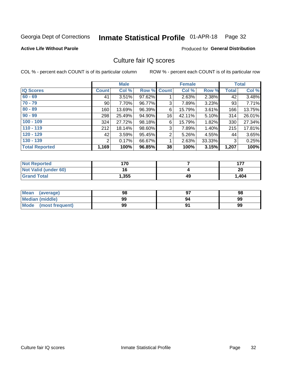#### Inmate Statistical Profile 01-APR-18 Page 32

#### **Active Life Without Parole**

### **Produced for General Distribution**

## Culture fair IQ scores

COL % - percent each COUNT is of its particular column

|                       | <b>Male</b>  |        | <b>Female</b>      |                |        | <b>Total</b> |              |        |
|-----------------------|--------------|--------|--------------------|----------------|--------|--------------|--------------|--------|
| <b>IQ Scores</b>      | <b>Count</b> | Col %  | <b>Row % Count</b> |                | Col %  | Row %        | <b>Total</b> | Col %  |
| $60 - 69$             | 41           | 3.51%  | 97.62%             |                | 2.63%  | 2.38%        | 42           | 3.48%  |
| $70 - 79$             | 90           | 7.70%  | 96.77%             | 3              | 7.89%  | 3.23%        | 93           | 7.71%  |
| $80 - 89$             | 160          | 13.69% | 96.39%             | 6              | 15.79% | 3.61%        | 166          | 13.75% |
| $90 - 99$             | 298          | 25.49% | 94.90%             | 16             | 42.11% | 5.10%        | 314          | 26.01% |
| $100 - 109$           | 324          | 27.72% | 98.18%             | 6              | 15.79% | 1.82%        | 330          | 27.34% |
| $110 - 119$           | 212          | 18.14% | 98.60%             | 3              | 7.89%  | 1.40%        | 215          | 17.81% |
| $120 - 129$           | 42           | 3.59%  | 95.45%             | $\overline{2}$ | 5.26%  | 4.55%        | 44           | 3.65%  |
| $130 - 139$           | 2            | 0.17%  | 66.67%             | 1              | 2.63%  | 33.33%       | 3            | 0.25%  |
| <b>Total Reported</b> | 1,169        | 100%   | 96.85%             | 38             | 100%   | 3.15%        | 1,207        | 100%   |

| <b>Not Reported</b>         | '70   |    | 177   |
|-----------------------------|-------|----|-------|
| <b>Not Valid (under 60)</b> | 4 C   |    | 20    |
| <b>Grand Total</b>          | 1,355 | 49 | 1,404 |

| Mean<br>(average)      | 98 |    | 98 |
|------------------------|----|----|----|
| <b>Median (middle)</b> | 99 | 94 | 99 |
| Mode (most frequent)   | 99 |    | 99 |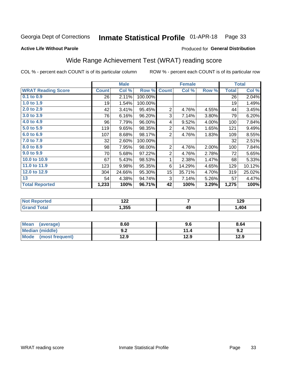#### Inmate Statistical Profile 01-APR-18 Page 33

#### **Active Life Without Parole**

### Produced for General Distribution

## Wide Range Achievement Test (WRAT) reading score

COL % - percent each COUNT is of its particular column

|                           |              | <b>Male</b> |         |                | <b>Female</b> |       |              | <b>Total</b> |
|---------------------------|--------------|-------------|---------|----------------|---------------|-------|--------------|--------------|
| <b>WRAT Reading Score</b> | <b>Count</b> | Col %       | Row %   | <b>Count</b>   | Col %         | Row % | <b>Total</b> | Col %        |
| 0.1 to 0.9                | 26           | 2.11%       | 100.00% |                |               |       | 26           | 2.04%        |
| 1.0 to 1.9                | 19           | 1.54%       | 100.00% |                |               |       | 19           | 1.49%        |
| 2.0 to 2.9                | 42           | 3.41%       | 95.45%  | $\overline{2}$ | 4.76%         | 4.55% | 44           | 3.45%        |
| 3.0 to 3.9                | 76           | 6.16%       | 96.20%  | 3              | 7.14%         | 3.80% | 79           | 6.20%        |
| 4.0 to 4.9                | 96           | 7.79%       | 96.00%  | 4              | 9.52%         | 4.00% | 100          | 7.84%        |
| 5.0 to 5.9                | 119          | 9.65%       | 98.35%  | $\overline{2}$ | 4.76%         | 1.65% | 121          | 9.49%        |
| 6.0 to 6.9                | 107          | 8.68%       | 98.17%  | $\overline{2}$ | 4.76%         | 1.83% | 109          | 8.55%        |
| 7.0 to 7.9                | 32           | 2.60%       | 100.00% |                |               |       | 32           | 2.51%        |
| 8.0 to 8.9                | 98           | 7.95%       | 98.00%  | $\overline{2}$ | 4.76%         | 2.00% | 100          | 7.84%        |
| 9.0 to 9.9                | 70           | 5.68%       | 97.22%  | $\overline{2}$ | 4.76%         | 2.78% | 72           | 5.65%        |
| 10.0 to 10.9              | 67           | 5.43%       | 98.53%  | 1              | 2.38%         | 1.47% | 68           | 5.33%        |
| 11.0 to 11.9              | 123          | 9.98%       | 95.35%  | 6              | 14.29%        | 4.65% | 129          | 10.12%       |
| 12.0 to 12.9              | 304          | 24.66%      | 95.30%  | 15             | 35.71%        | 4.70% | 319          | 25.02%       |
| 13                        | 54           | 4.38%       | 94.74%  | 3              | 7.14%         | 5.26% | 57           | 4.47%        |
| <b>Total Reported</b>     | 1,233        | 100%        | 96.71%  | 42             | 100%          | 3.29% | 1,275        | 100%         |

| <b>Not Reported</b>    | ר ר<br>144 |    | 129  |
|------------------------|------------|----|------|
| <b>Total</b><br>'Grand | 1,355      | 49 | ,404 |

| Mean<br>(average)      | 8.60       | 9.6  | 8.64 |
|------------------------|------------|------|------|
| <b>Median (middle)</b> | י ה<br>9.Z | 11.4 | 9.2  |
| Mode (most frequent)   | 12.9       | 12.9 | 12.9 |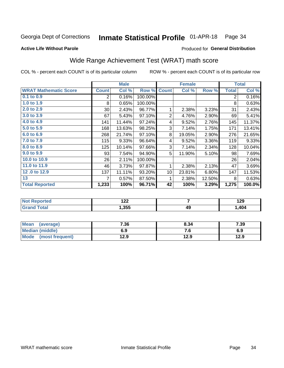#### Inmate Statistical Profile 01-APR-18 Page 34

Produced for General Distribution

### **Active Life Without Parole**

## Wide Range Achievement Test (WRAT) math score

COL % - percent each COUNT is of its particular column

|                              |                 | <b>Male</b> |         |                 | <b>Female</b> |        |              | <b>Total</b> |
|------------------------------|-----------------|-------------|---------|-----------------|---------------|--------|--------------|--------------|
| <b>WRAT Mathematic Score</b> | <b>Count</b>    | Col %       | Row %   | <b>Count</b>    | Col %         | Row %  | <b>Total</b> | Col %        |
| 0.1 to 0.9                   | $\overline{2}$  | 0.16%       | 100.00% |                 |               |        | 2            | 0.16%        |
| 1.0 to 1.9                   | 8               | 0.65%       | 100.00% |                 |               |        | 8            | 0.63%        |
| 2.0 to 2.9                   | 30 <sup>2</sup> | 2.43%       | 96.77%  | 1               | 2.38%         | 3.23%  | 31           | 2.43%        |
| 3.0 to 3.9                   | 67              | 5.43%       | 97.10%  | $\overline{2}$  | 4.76%         | 2.90%  | 69           | 5.41%        |
| 4.0 to 4.9                   | 141             | 11.44%      | 97.24%  | 4               | 9.52%         | 2.76%  | 145          | 11.37%       |
| 5.0 to 5.9                   | 168             | 13.63%      | 98.25%  | 3               | 7.14%         | 1.75%  | 171          | 13.41%       |
| 6.0 to 6.9                   | 268             | 21.74%      | 97.10%  | 8               | 19.05%        | 2.90%  | 276          | 21.65%       |
| 7.0 to 7.9                   | 115             | 9.33%       | 96.64%  | 4               | 9.52%         | 3.36%  | 119          | 9.33%        |
| 8.0 to 8.9                   | 125             | 10.14%      | 97.66%  | 3               | 7.14%         | 2.34%  | 128          | 10.04%       |
| 9.0 to 9.9                   | 93              | 7.54%       | 94.90%  | 5               | 11.90%        | 5.10%  | 98           | 7.69%        |
| 10.0 to 10.9                 | 26              | 2.11%       | 100.00% |                 |               |        | 26           | 2.04%        |
| 11.0 to 11.9                 | 46              | 3.73%       | 97.87%  | 1               | 2.38%         | 2.13%  | 47           | 3.69%        |
| 12.0 to 12.9                 | 137             | 11.11%      | 93.20%  | 10 <sup>1</sup> | 23.81%        | 6.80%  | 147          | 11.53%       |
| 13                           | 7               | 0.57%       | 87.50%  | 1               | 2.38%         | 12.50% | 8            | 0.63%        |
| <b>Total Reported</b>        | 1,233           | 100%        | 96.71%  | 42              | 100%          | 3.29%  | 1,275        | 100.0%       |
|                              |                 |             |         |                 |               |        |              |              |

| <b>Not Reported</b> | ה הו<br>175 |    | 190<br>1 Z J |
|---------------------|-------------|----|--------------|
| <b>Total</b>        | .355.،      | 49 | ,404         |

| Mean (average)         | 7.36 | 8.34 | 7.39 |
|------------------------|------|------|------|
| <b>Median (middle)</b> | 6.9  | ס. י | 6.9  |
| Mode (most frequent)   | 12.9 | 12.9 | 12.9 |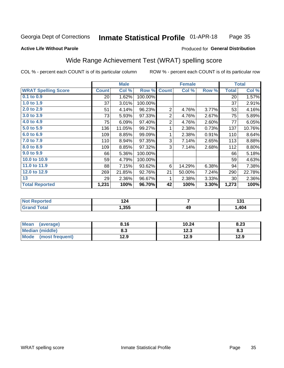#### **Inmate Statistical Profile 01-APR-18** Page 35

#### **Active Life Without Parole**

### Produced for General Distribution

## Wide Range Achievement Test (WRAT) spelling score

COL % - percent each COUNT is of its particular column

|                            |                 | <b>Male</b> |         |                | <b>Female</b>  |       |              | <b>Total</b> |
|----------------------------|-----------------|-------------|---------|----------------|----------------|-------|--------------|--------------|
| <b>WRAT Spelling Score</b> | <b>Count</b>    | Col %       | Row %   | <b>Count</b>   | Col %          | Row % | <b>Total</b> | Col %        |
| 0.1 to 0.9                 | 20 <sup>2</sup> | 1.62%       | 100.00% |                |                |       | 20           | 1.57%        |
| 1.0 to 1.9                 | 37              | 3.01%       | 100.00% |                |                |       | 37           | 2.91%        |
| 2.0 to 2.9                 | 51              | 4.14%       | 96.23%  | $\overline{2}$ | 4.76%          | 3.77% | 53           | 4.16%        |
| 3.0 to 3.9                 | 73              | 5.93%       | 97.33%  | $\overline{2}$ | 4.76%          | 2.67% | 75           | 5.89%        |
| 4.0 to 4.9                 | 75              | 6.09%       | 97.40%  | $\overline{2}$ | 4.76%          | 2.60% | 77           | 6.05%        |
| 5.0 to 5.9                 | 136             | 11.05%      | 99.27%  | 1              | 2.38%          | 0.73% | 137          | 10.76%       |
| 6.0 to 6.9                 | 109             | 8.85%       | 99.09%  | 1              | 2.38%          | 0.91% | 110          | 8.64%        |
| 7.0 to 7.9                 | 110             | 8.94%       | 97.35%  | 3              | 7.14%          | 2.65% | 113          | 8.88%        |
| 8.0 to 8.9                 | 109             | 8.85%       | 97.32%  | 3              | 7.14%          | 2.68% | 112          | 8.80%        |
| 9.0 to 9.9                 | 66              | 5.36%       | 100.00% |                |                |       | 66           | 5.18%        |
| 10.0 to 10.9               | 59              | 4.79%       | 100.00% |                |                |       | 59           | 4.63%        |
| 11.0 to 11.9               | 88              | 7.15%       | 93.62%  | 6              | 14.29%         | 6.38% | 94           | 7.38%        |
| 12.0 to 12.9               | 269             | 21.85%      | 92.76%  | 21             | 50.00%         | 7.24% | 290          | 22.78%       |
| 13                         | 29              | 2.36%       | 96.67%  | 1              | 2.38%          | 3.33% | 30           | 2.36%        |
| <b>Total Reported</b>      | 1,231           | 100%        | 96.70%  | 42             | 100%           | 3.30% | 1,273        | 100%         |
|                            |                 |             |         |                |                |       |              |              |
| <b>Not Reported</b>        |                 | 124         |         |                | $\overline{7}$ |       |              | 131          |
| <b>Grand Total</b>         |                 | 1,355       |         |                | 49             |       |              | 1,404        |

| Mean<br>(average)              | 8.16 | 10.24       | 8.23 |
|--------------------------------|------|-------------|------|
| <b>Median (middle)</b>         | 8.3  | 1つ ?<br>د ع | ი.ა  |
| <b>Mode</b><br>(most frequent) | 12.9 | 12.9        | 12.9 |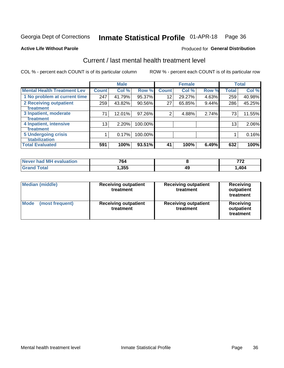## Inmate Statistical Profile 01-APR-18 Page 36

#### **Active Life Without Parole**

### Produced for General Distribution

## Current / last mental health treatment level

COL % - percent each COUNT is of its particular column

|                                    |              | <b>Male</b> |         |              | <b>Female</b> |       |              | <b>Total</b> |
|------------------------------------|--------------|-------------|---------|--------------|---------------|-------|--------------|--------------|
| <b>Mental Health Treatment Lev</b> | <b>Count</b> | Col %       | Row %   | <b>Count</b> | Col %         | Row % | <b>Total</b> | Col %        |
| 1 No problem at current time       | 247          | 41.79%      | 95.37%  | 12           | 29.27%        | 4.63% | 259          | 40.98%       |
| 2 Receiving outpatient             | 259          | 43.82%      | 90.56%  | 27           | 65.85%        | 9.44% | 286          | 45.25%       |
| <b>Treatment</b>                   |              |             |         |              |               |       |              |              |
| 3 Inpatient, moderate              | 71           | 12.01%      | 97.26%  | 2            | 4.88%         | 2.74% | 73           | 11.55%       |
| <b>Treatment</b>                   |              |             |         |              |               |       |              |              |
| 4 Inpatient, intensive             | 13           | 2.20%       | 100.00% |              |               |       | 13           | 2.06%        |
| Treatment                          |              |             |         |              |               |       |              |              |
| <b>5 Undergoing crisis</b>         |              | 0.17%       | 100.00% |              |               |       |              | 0.16%        |
| <b>stabilization</b>               |              |             |         |              |               |       |              |              |
| <b>Total Evaluated</b>             | 591          | 100%        | 93.51%  | 41           | 100%          | 6.49% | 632          | 100%         |

| evaluation<br>Never had Ml | 764  |    | --  |
|----------------------------|------|----|-----|
|                            | .355 | 49 | 404 |

| <b>Median (middle)</b>         | <b>Receiving outpatient</b><br>treatment | <b>Receiving outpatient</b><br>treatment | <b>Receiving</b><br>outpatient<br>treatment |  |
|--------------------------------|------------------------------------------|------------------------------------------|---------------------------------------------|--|
| <b>Mode</b><br>(most frequent) | <b>Receiving outpatient</b><br>treatment | <b>Receiving outpatient</b><br>treatment | <b>Receiving</b><br>outpatient<br>treatment |  |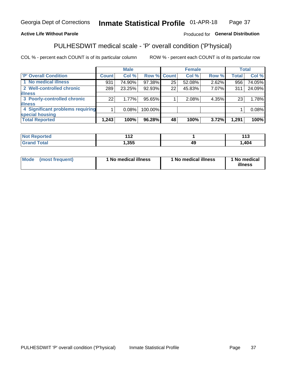#### Inmate Statistical Profile 01-APR-18 Page 37

## **Active Life Without Parole**

### Produced for General Distribution

## PULHESDWIT medical scale - 'P' overall condition ('P'hysical)

COL % - percent each COUNT is of its particular column

|                                  |              | <b>Male</b> |             |    | <b>Female</b> |       |              | <b>Total</b> |
|----------------------------------|--------------|-------------|-------------|----|---------------|-------|--------------|--------------|
| 'P' Overall Condition            | <b>Count</b> | Col %       | Row % Count |    | Col %         | Row % | <b>Total</b> | Col %        |
| 1 No medical illness             | 931          | 74.90%      | 97.38%      | 25 | 52.08%        | 2.62% | 956          | 74.05%       |
| 2 Well-controlled chronic        | 289          | 23.25%      | 92.93%      | 22 | 45.83%        | 7.07% | 311          | 24.09%       |
| <b>illness</b>                   |              |             |             |    |               |       |              |              |
| 3 Poorly-controlled chronic      | 22           | 1.77%       | 95.65%      |    | 2.08%         | 4.35% | 23           | 1.78%        |
| <b>illness</b>                   |              |             |             |    |               |       |              |              |
| 4 Significant problems requiring |              | 0.08%       | 100.00%     |    |               |       |              | 0.08%        |
| special housing                  |              |             |             |    |               |       |              |              |
| <b>Total Reported</b>            | 1,243        | 100%        | 96.28%      | 48 | 100%          | 3.72% | 1,291        | 100%         |

| τeα   | $\sim$<br>. . |    | 442<br>. I J |
|-------|---------------|----|--------------|
| _____ | .355          | 45 | 404          |

| <b>Mode</b> | (most frequent) | 1 No medical illness | 1 No medical illness | 1 No medical<br>illness |
|-------------|-----------------|----------------------|----------------------|-------------------------|
|-------------|-----------------|----------------------|----------------------|-------------------------|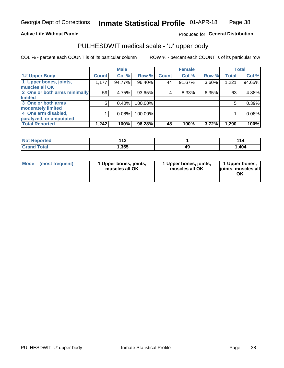### **Active Life Without Parole**

### Produced for General Distribution

## PULHESDWIT medical scale - 'U' upper body

COL % - percent each COUNT is of its particular column

|                              |              | <b>Male</b> |         |              | <b>Female</b> |       |              | <b>Total</b> |
|------------------------------|--------------|-------------|---------|--------------|---------------|-------|--------------|--------------|
| <b>U' Upper Body</b>         | <b>Count</b> | Col %       | Row %   | <b>Count</b> | Col %         | Row % | <b>Total</b> | Col %        |
| 1 Upper bones, joints,       | 1,177        | 94.77%      | 96.40%  | 44           | 91.67%        | 3.60% | 1,221        | 94.65%       |
| muscles all OK               |              |             |         |              |               |       |              |              |
| 2 One or both arms minimally | 59           | 4.75%       | 93.65%  | 4            | 8.33%         | 6.35% | 63           | 4.88%        |
| limited                      |              |             |         |              |               |       |              |              |
| 3 One or both arms           | 5            | 0.40%       | 100.00% |              |               |       | 5            | 0.39%        |
| moderately limited           |              |             |         |              |               |       |              |              |
| 4 One arm disabled,          |              | 0.08%       | 100.00% |              |               |       |              | 0.08%        |
| paralyzed, or amputated      |              |             |         |              |               |       |              |              |
| <b>Total Reported</b>        | 1,242        | 100%        | 96.28%  | 48           | 100%          | 3.72% | 1,290        | 100%         |

| <b>Not Reported</b>   | .<br>. . |    | 4 A<br>$\overline{ }$ |
|-----------------------|----------|----|-----------------------|
| <b>Total</b><br>Grand | ,355     | 49 | ,404                  |

| Mode | (most frequent) | 1 Upper bones, joints,<br>muscles all OK | 1 Upper bones, joints,<br>muscles all OK | 1 Upper bones,<br>ljoints, muscles all<br>OK |
|------|-----------------|------------------------------------------|------------------------------------------|----------------------------------------------|
|------|-----------------|------------------------------------------|------------------------------------------|----------------------------------------------|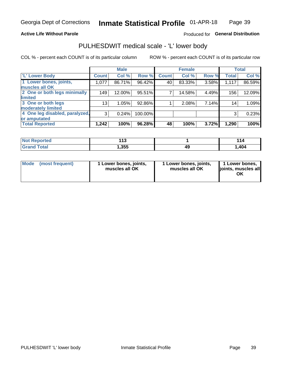### **Active Life Without Parole**

## Produced for General Distribution

## PULHESDWIT medical scale - 'L' lower body

COL % - percent each COUNT is of its particular column

|                                     | <b>Male</b> |              | <b>Female</b>                                            |       |              | <b>Total</b>                     |
|-------------------------------------|-------------|--------------|----------------------------------------------------------|-------|--------------|----------------------------------|
| <b>Count</b>                        | Col %       | <b>Count</b> | Col %                                                    |       | <b>Total</b> | Col %                            |
| 1,077                               | 86.71%      | 40           | 83.33%                                                   |       | 1,117        | 86.59%                           |
|                                     |             |              |                                                          |       |              |                                  |
| 149                                 | 12.00%      | 7            | 14.58%                                                   |       | 156          | 12.09%                           |
|                                     |             |              |                                                          |       |              |                                  |
| 13                                  | 1.05%       |              | 2.08%                                                    |       | 14           | 1.09%                            |
|                                     |             |              |                                                          |       |              |                                  |
| 4 One leg disabled, paralyzed,<br>3 | 0.24%       |              |                                                          |       | 3            | 0.23%                            |
|                                     |             |              |                                                          |       |              |                                  |
| 1,242                               | 100%        | 48           | 100%                                                     | 3.72% | 1,290        | 100%                             |
|                                     |             |              | Row %<br>96.42%<br>95.51%<br>92.86%<br>100.00%<br>96.28% |       |              | Row %<br>3.58%<br>4.49%<br>7.14% |

| <b>Not Reported</b>   | .<br>. . |    | 4 A<br>$\overline{ }$ |
|-----------------------|----------|----|-----------------------|
| <b>Total</b><br>Grand | ,355     | 49 | ,404                  |

| Mode | (most frequent) | 1 Lower bones, joints,<br>muscles all OK | 1 Lower bones, joints,<br>muscles all OK | 1 Lower bones,<br>ljoints, muscles all<br>OK |
|------|-----------------|------------------------------------------|------------------------------------------|----------------------------------------------|
|------|-----------------|------------------------------------------|------------------------------------------|----------------------------------------------|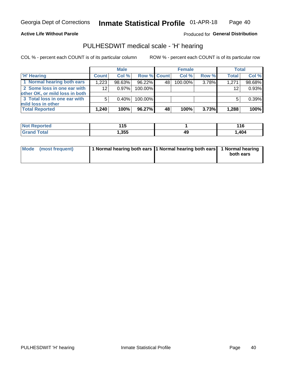### **Active Life Without Parole**

Produced for General Distribution

## PULHESDWIT medical scale - 'H' hearing

COL % - percent each COUNT is of its particular column

|                                                               |              | <b>Male</b> |             |    | <b>Female</b> |       | <b>Total</b> |        |
|---------------------------------------------------------------|--------------|-------------|-------------|----|---------------|-------|--------------|--------|
| <b>H'</b> Hearing                                             | <b>Count</b> | Col%        | Row % Count |    | Col%          | Row % | <b>Total</b> | Col %  |
| 1 Normal hearing both ears                                    | 1,223        | $98.63\%$   | 96.22%      | 48 | $100.00\%$    | 3.78% | 1,271        | 98.68% |
| 2 Some loss in one ear with<br>other OK, or mild loss in both | 12           | $0.97\%$    | 100.00%     |    |               |       | 12           | 0.93%  |
| 3 Total loss in one ear with<br>mild loss in other            | 5            | 0.40%       | 100.00%     |    |               |       |              | 0.39%  |
| <b>Total Reported</b>                                         | 1.240        | 100%        | 96.27%      | 48 | 100%          | 3.73% | 1,288        | 100%   |

| Reported<br><b>NOT</b> | .<br><b>15</b><br>1 J<br>$\sim$ |    | 4 4 C<br><u>. . o</u> |
|------------------------|---------------------------------|----|-----------------------|
| <b>otal</b>            | ,355                            | 49 | 404, ا                |

| Mode (most frequent) | 1 Normal hearing both ears 1 Normal hearing both ears 1 Normal hearing | both ears |
|----------------------|------------------------------------------------------------------------|-----------|
|----------------------|------------------------------------------------------------------------|-----------|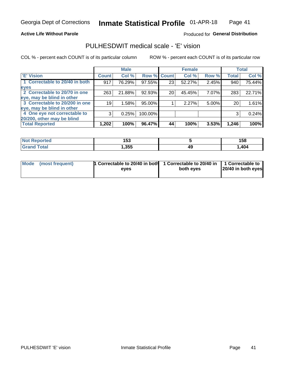### **Active Life Without Parole**

### Produced for General Distribution

## PULHESDWIT medical scale - 'E' vision

COL % - percent each COUNT is of its particular column

|                                |              | <b>Male</b> |             |    | <b>Female</b> |          |              | <b>Total</b> |
|--------------------------------|--------------|-------------|-------------|----|---------------|----------|--------------|--------------|
| <b>E' Vision</b>               | <b>Count</b> | Col %       | Row % Count |    | Col%          | Row %    | <b>Total</b> | Col %        |
| 1 Correctable to 20/40 in both | 917          | 76.29%      | 97.55%      | 23 | 52.27%        | 2.45%    | 940          | 75.44%       |
| eyes                           |              |             |             |    |               |          |              |              |
| 2 Correctable to 20/70 in one  | 263          | 21.88%      | 92.93%      | 20 | 45.45%        | 7.07%    | 283          | 22.71%       |
| eye, may be blind in other     |              |             |             |    |               |          |              |              |
| 3 Correctable to 20/200 in one | 19           | 1.58%       | 95.00%      |    | 2.27%         | $5.00\%$ | 20           | 1.61%        |
| eye, may be blind in other     |              |             |             |    |               |          |              |              |
| 4 One eye not correctable to   | 3            | 0.25%       | 100.00%     |    |               |          | 3            | 0.24%        |
| 20/200, other may be blind     |              |             |             |    |               |          |              |              |
| <b>Total Reported</b>          | 1,202        | 100%        | 96.47%      | 44 | 100%          | 3.53%    | 1,246        | 100%         |

| <b>Not Reported</b>          | ィにつ<br>טטו |    | 158  |
|------------------------------|------------|----|------|
| <b>Total</b><br><b>Grand</b> | , 355      | 49 | ,404 |

| Mode (most frequent) | 1 Correctable to 20/40 in both<br>eves | 1 Correctable to 20/40 in   1 Correctable to<br>both eves | 20/40 in both eyes |
|----------------------|----------------------------------------|-----------------------------------------------------------|--------------------|
|                      |                                        |                                                           |                    |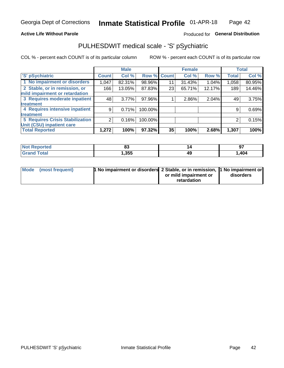### **Active Life Without Parole**

## Produced for General Distribution

## PULHESDWIT medical scale - 'S' pSychiatric

COL % - percent each COUNT is of its particular column

|                                 |              | <b>Male</b> |         |             | <b>Female</b> |        |              | <b>Total</b> |
|---------------------------------|--------------|-------------|---------|-------------|---------------|--------|--------------|--------------|
| 'S' pSychiatric                 | <b>Count</b> | Col %       |         | Row % Count | Col %         | Row %  | <b>Total</b> | Col %        |
| 1 No impairment or disorders    | 1,047        | 82.31%      | 98.96%  | 11          | 31.43%        | 1.04%  | 1,058        | 80.95%       |
| 2 Stable, or in remission, or   | 166          | 13.05%      | 87.83%  | 23          | 65.71%        | 12.17% | 189          | 14.46%       |
| mild impairment or retardation  |              |             |         |             |               |        |              |              |
| 3 Requires moderate inpatient   | 48           | 3.77%       | 97.96%  |             | 2.86%         | 2.04%  | 49           | 3.75%        |
| <b>treatment</b>                |              |             |         |             |               |        |              |              |
| 4 Requires intensive inpatient  | 9            | 0.71%       | 100.00% |             |               |        | 9            | 0.69%        |
| <b>treatment</b>                |              |             |         |             |               |        |              |              |
| 5 Requires Crisis Stabilization | 2            | 0.16%       | 100.00% |             |               |        | 2            | 0.15%        |
| Unit (CSU) inpatient care       |              |             |         |             |               |        |              |              |
| <b>Total Reported</b>           | 1,272        | 100%        | 97.32%  | 35          | 100%          | 2.68%  | 1,307        | 100%         |

| <b>Not Reported</b> | o.<br>uj |    | 07<br>J, |
|---------------------|----------|----|----------|
| <b>Grand Total</b>  | , 355    | 49 | ,404     |

| Mode | (most frequent) | <b>1 No impairment or disorders</b> 2 Stable, or in remission, 1 No impairment or |                       |           |
|------|-----------------|-----------------------------------------------------------------------------------|-----------------------|-----------|
|      |                 |                                                                                   | or mild impairment or | disorders |
|      |                 |                                                                                   | retardation           |           |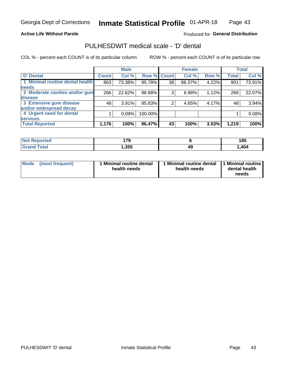### **Active Life Without Parole**

## Produced for General Distribution

## PULHESDWIT medical scale - 'D' dental

COL % - percent each COUNT is of its particular column

|                                 |              | <b>Male</b> |         |              | <b>Female</b> |       |              | <b>Total</b> |
|---------------------------------|--------------|-------------|---------|--------------|---------------|-------|--------------|--------------|
| <b>D'</b> Dental                | <b>Count</b> | Col %       | Row %   | <b>Count</b> | Col %         | Row % | <b>Total</b> | Col %        |
| 1 Minimal routine dental health | 863          | 73.38%      | 95.78%  | 38           | 88.37%        | 4.22% | 901          | 73.91%       |
| <b>needs</b>                    |              |             |         |              |               |       |              |              |
| 2 Moderate cavities and/or gum  | 266          | 22.62%      | 98.88%  | 3            | 6.98%         | 1.12% | 269          | 22.07%       |
| disease                         |              |             |         |              |               |       |              |              |
| 3 Extensive gum disease         | 46           | 3.91%       | 95.83%  |              | 4.65%         | 4.17% | 48           | 3.94%        |
| and/or widespread decay         |              |             |         |              |               |       |              |              |
| 4 Urgent need for dental        |              | 0.09%       | 100.00% |              |               |       |              | 0.08%        |
| <b>services</b>                 |              |             |         |              |               |       |              |              |
| <b>Total Reported</b>           | 1,176        | 100%        | 96.47%  | 43           | 100%          | 3.53% | 1,219        | 100%         |

| <b>Not Reported</b> | 170  |    | 185  |
|---------------------|------|----|------|
| Total               | ,355 | 49 | .404 |

| <b>Mode</b> | (most frequent) | <b>Minimal routine dental</b><br>health needs | 1 Minimal routine dental   1 Minimal routine  <br>health needs | dental health<br>needs |
|-------------|-----------------|-----------------------------------------------|----------------------------------------------------------------|------------------------|
|-------------|-----------------|-----------------------------------------------|----------------------------------------------------------------|------------------------|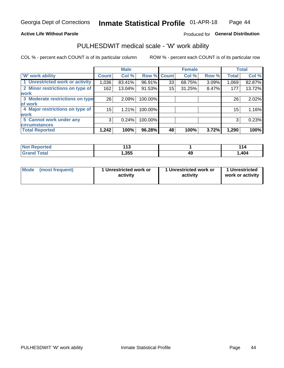### **Active Life Without Parole**

## Produced for General Distribution

## PULHESDWIT medical scale - 'W' work ability

COL % - percent each COUNT is of its particular column

|                                 |              | <b>Male</b> |         |             | <b>Female</b> |       |              | <b>Total</b> |
|---------------------------------|--------------|-------------|---------|-------------|---------------|-------|--------------|--------------|
| <b>W' work ability</b>          | <b>Count</b> | Col %       |         | Row % Count | Col %         | Row % | <b>Total</b> | Col %        |
| 1 Unrestricted work or activity | 1,036        | 83.41%      | 96.91%  | 33          | 68.75%        | 3.09% | 1,069        | 82.87%       |
| 2 Minor restrictions on type of | 162          | 13.04%      | 91.53%  | 15          | 31.25%        | 8.47% | 177          | 13.72%       |
| <b>work</b>                     |              |             |         |             |               |       |              |              |
| 3 Moderate restrictions on type | 26           | 2.09%       | 100.00% |             |               |       | 26           | 2.02%        |
| lof work                        |              |             |         |             |               |       |              |              |
| 4 Major restrictions on type of | 15           | 1.21%       | 100.00% |             |               |       | 15           | 1.16%        |
| <b>work</b>                     |              |             |         |             |               |       |              |              |
| 5 Cannot work under any         | 3            | 0.24%       | 100.00% |             |               |       | 3            | 0.23%        |
| <b>circumstances</b>            |              |             |         |             |               |       |              |              |
| <b>Total Reported</b>           | 1,242        | 100%        | 96.28%  | 48          | 100%          | 3.72% | 1,290        | 100%         |

| Reported<br><b>NOT</b> | 449<br>. .<br>$\sim$ |    |      |
|------------------------|----------------------|----|------|
| <b>Total</b><br>re e e | , 355                | 49 | ,404 |

| Mode (most frequent) | 1 Unrestricted work or | 1 Unrestricted work or | 1 Unrestricted   |
|----------------------|------------------------|------------------------|------------------|
|                      | activity               | activity               | work or activity |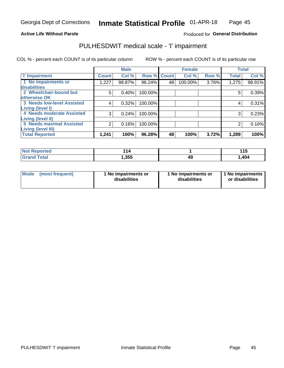### **Active Life Without Parole**

## Produced for General Distribution

## PULHESDWIT medical scale - 'I' impairment

|                                   |              | <b>Male</b> |                    |    | <b>Female</b> |       |              | <b>Total</b> |
|-----------------------------------|--------------|-------------|--------------------|----|---------------|-------|--------------|--------------|
| <b>T' Impairment</b>              | <b>Count</b> | Col %       | <b>Row % Count</b> |    | Col %         | Row % | <b>Total</b> | Col %        |
| 1 No impairments or               | 1,227        | 98.87%      | 96.24%             | 48 | 100.00%       | 3.76% | 1,275        | 98.91%       |
| disabilities                      |              |             |                    |    |               |       |              |              |
| 2 Wheelchair-bound but            | 5            | 0.40%       | 100.00%            |    |               |       | 5            | 0.39%        |
| otherwise OK                      |              |             |                    |    |               |       |              |              |
| <b>3 Needs low-level Assisted</b> | 4            | 0.32%       | 100.00%            |    |               |       | 4            | 0.31%        |
| Living (level I)                  |              |             |                    |    |               |       |              |              |
| 4 Needs moderate Assisted         | 3            | 0.24%       | 100.00%            |    |               |       | 3            | 0.23%        |
| Living (level II)                 |              |             |                    |    |               |       |              |              |
| <b>5 Needs maximal Assisted</b>   | 2            | 0.16%       | 100.00%            |    |               |       | 2            | 0.16%        |
| Living (level III)                |              |             |                    |    |               |       |              |              |
| <b>Total Reported</b>             | 1,241        | 100%        | 96.28%             | 48 | 100%          | 3.72% | 1,289        | 100%         |

| วrted | 44<br>14 |   | 1 4 C<br>. |
|-------|----------|---|------------|
| ota.  | 1,355    | ĸ | ,404       |

| <b>Mode</b> | (most frequent) | <b>No impairments or</b><br>disabilities | 1 No impairments or<br>disabilities | 1 No impairments<br>or disabilities |
|-------------|-----------------|------------------------------------------|-------------------------------------|-------------------------------------|
|-------------|-----------------|------------------------------------------|-------------------------------------|-------------------------------------|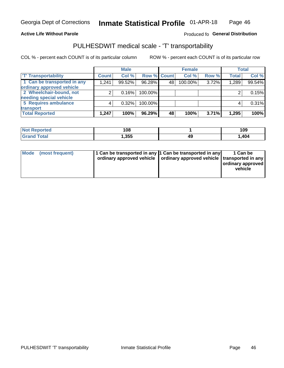### **Active Life Without Parole**

### Produced fo General Distribution

## PULHESDWIT medical scale - 'T' transportability

COL % - percent each COUNT is of its particular column

|                             |              | <b>Male</b> |             |    | <b>Female</b> |       |              | <b>Total</b> |
|-----------------------------|--------------|-------------|-------------|----|---------------|-------|--------------|--------------|
| <b>T' Transportability</b>  | <b>Count</b> | Col %       | Row % Count |    | Col %         | Row % | <b>Total</b> | Col %        |
| 1 Can be transported in any | 1,241        | 99.52%      | 96.28%      | 48 | 100.00%       | 3.72% | 1,289        | 99.54%       |
| ordinary approved vehicle   |              |             |             |    |               |       |              |              |
| 2 Wheelchair-bound, not     |              | 0.16%       | 100.00%     |    |               |       |              | 0.15%        |
| needing special vehicle     |              |             |             |    |               |       |              |              |
| 5 Requires ambulance        |              | 0.32%       | 100.00%     |    |               |       |              | 0.31%        |
| transport                   |              |             |             |    |               |       |              |              |
| <b>Total Reported</b>       | 1,247        | 100%        | 96.29%      | 48 | 100%          | 3.71% | 1,295        | 100%         |

| eported | 108  |    | 109   |
|---------|------|----|-------|
|         | .355 | 17 | 1,404 |

| Mode (most frequent) | 1 Can be transported in any 1 Can be transported in any | ordinary approved vehicle   ordinary approved vehicle   transported in any | 1 Can be<br>ordinary approved<br>vehicle |
|----------------------|---------------------------------------------------------|----------------------------------------------------------------------------|------------------------------------------|
|                      |                                                         |                                                                            |                                          |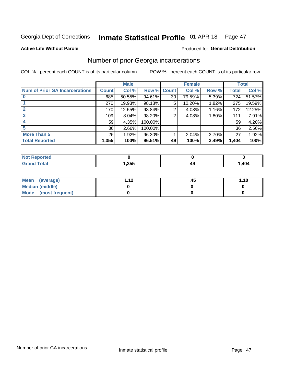#### Inmate Statistical Profile 01-APR-18 Page 47

#### **Active Life Without Parole**

### **Produced for General Distribution**

## Number of prior Georgia incarcerations

COL % - percent each COUNT is of its particular column

|                                       |              | <b>Male</b> |                    |    | <b>Female</b> |       |       | <b>Total</b> |
|---------------------------------------|--------------|-------------|--------------------|----|---------------|-------|-------|--------------|
| <b>Num of Prior GA Incarcerations</b> | <b>Count</b> | Col %       | <b>Row % Count</b> |    | Col %         | Row % | Total | Col %        |
|                                       | 685          | 50.55%      | 94.61%             | 39 | 79.59%        | 5.39% | 724   | 51.57%       |
|                                       | 270          | 19.93%      | 98.18%             | 5  | 10.20%        | 1.82% | 275   | 19.59%       |
|                                       | 170          | 12.55%      | 98.84%             | 2  | 4.08%         | 1.16% | 172   | 12.25%       |
| 3                                     | 109          | 8.04%       | 98.20%             | 2  | 4.08%         | 1.80% | 111   | 7.91%        |
| 4                                     | 59           | 4.35%       | 100.00%            |    |               |       | 59    | 4.20%        |
| 5                                     | 36           | 2.66%       | 100.00%            |    |               |       | 36    | 2.56%        |
| <b>More Than 5</b>                    | 26           | 1.92%       | 96.30%             |    | 2.04%         | 3.70% | 27    | 1.92%        |
| <b>Total Reported</b>                 | 1,355        | 100%        | 96.51%             | 49 | 100%          | 3.49% | 1,404 | 100%         |

| orted<br><b>NI</b>               |     |  |       |
|----------------------------------|-----|--|-------|
| <b>Total</b><br>$\mathbf{v}$ and | へちち |  | 1,404 |

| Mean (average)       | 1 1 J | 45. | 1.10 |
|----------------------|-------|-----|------|
| Median (middle)      |       |     |      |
| Mode (most frequent) |       |     |      |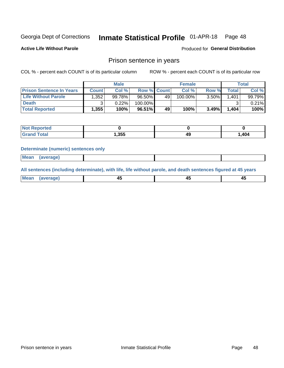#### Inmate Statistical Profile 01-APR-18 Page 48

**Active Life Without Parole** 

Produced for General Distribution

## Prison sentence in years

COL % - percent each COUNT is of its particular column

ROW % - percent each COUNT is of its particular row

|                                 | <b>Male</b>  |        |                    |    | <b>Female</b> | Total    |       |        |
|---------------------------------|--------------|--------|--------------------|----|---------------|----------|-------|--------|
| <b>Prison Sentence In Years</b> | <b>Count</b> | Col %  | <b>Row % Count</b> |    | Col %         | Row %    | Total | Col %  |
| <b>Life Without Parole</b>      | .352         | 99.78% | $96.50\%$          | 49 | 100.00%       | $3.50\%$ | 1.401 | 99.79% |
| <b>Death</b>                    |              | 0.22%  | 100.00%            |    |               |          |       | 0.21%  |
| <b>Total Reported</b>           | 1,355        | 100%   | $96.51\%$          | 49 | 100%          | 3.49%    | 1,404 | 100%   |

| Reported<br>NOT |       |    |        |
|-----------------|-------|----|--------|
| <b>Total</b>    | 1,355 | лч | 404, ا |

#### **Determinate (numeric) sentences only**

| ' Mea<br><b>Service</b> A<br>ЯМА. |  |  |  |
|-----------------------------------|--|--|--|
|                                   |  |  |  |

All sentences (including determinate), with life, life without parole, and death sentences figured at 45 years

| l Mea<br>'ЯМА<br>.<br> | ᠇<br>$\sim$ | $\sim$ |  |
|------------------------|-------------|--------|--|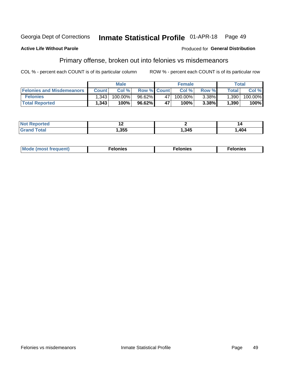#### Inmate Statistical Profile 01-APR-18 Georgia Dept of Corrections Page 49

#### **Active Life Without Parole**

#### Produced for General Distribution

## Primary offense, broken out into felonies vs misdemeanors

COL % - percent each COUNT is of its particular column

|                                  | <b>Male</b>  |         |                    | <b>Female</b> |            |          | Total        |         |
|----------------------------------|--------------|---------|--------------------|---------------|------------|----------|--------------|---------|
| <b>Felonies and Misdemeanors</b> | <b>Count</b> | Col%    | <b>Row % Count</b> |               | Col%       | Row %    | <b>Total</b> | Col %   |
| <b>Felonies</b>                  | .343         | 100.00% | $96.62\%$          | 47            | $100.00\%$ | $3.38\%$ | 1,390        | 100.00% |
| <b>Total Reported</b>            | .343         | $100\%$ | 96.62%             | 47            | 100%       | 3.38%    | 1,390        | 100%    |

| <b>Not Reported</b>   |       |      | 14     |
|-----------------------|-------|------|--------|
| `otal<br><b>Grand</b> | .,355 | ,345 | 404، ، |

| <b>Mode</b><br>frequent)<br>nies<br>≧ (most tr.<br>. | onies<br>. | lonies<br>енл<br>____ |
|------------------------------------------------------|------------|-----------------------|
|------------------------------------------------------|------------|-----------------------|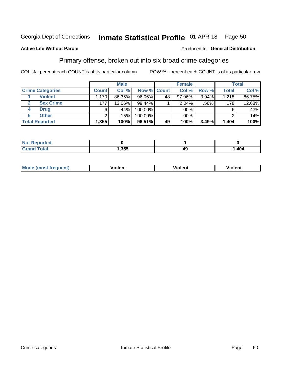#### Inmate Statistical Profile 01-APR-18 Page 50

### **Active Life Without Parole**

#### Produced for General Distribution

## Primary offense, broken out into six broad crime categories

COL % - percent each COUNT is of its particular column

|                         | <b>Male</b>  |        |           |             | <b>Female</b> |       |              | <b>Total</b> |  |
|-------------------------|--------------|--------|-----------|-------------|---------------|-------|--------------|--------------|--|
| <b>Crime Categories</b> | <b>Count</b> | Col %  |           | Row % Count | Col %         | Row % | <b>Total</b> | Col %        |  |
| <b>Violent</b>          | .170         | 86.35% | 96.06%    | 48          | 97.96%        | 3.94% | 1,218        | 86.75%       |  |
| <b>Sex Crime</b>        | 177          | 13.06% | 99.44%    |             | 2.04%         | .56%  | 178          | 12.68%       |  |
| <b>Drug</b><br>4        | 6            | .44%   | 100.00%   |             | .00%          |       | 6            | .43%         |  |
| <b>Other</b><br>6       | 2            | .15%   | 100.00%   |             | .00%          |       | ⌒            | .14%         |  |
| <b>Total Reported</b>   | 1,355        | 100%   | $96.51\%$ | 49          | 100%          | 3.49% | 1,404        | 100%         |  |

| orted<br><b>NOT REPO</b> |      |    |      |
|--------------------------|------|----|------|
| <b>Total</b>             | ,355 | 49 | .404 |

| Mode (most frequent) | <br><b>∤iolent</b> | Violent | Violent |
|----------------------|--------------------|---------|---------|
|                      |                    |         |         |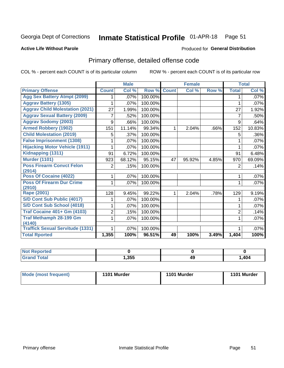#### Inmate Statistical Profile 01-APR-18 Page 51

#### **Active Life Without Parole**

#### Produced for General Distribution

## Primary offense, detailed offense code

COL % - percent each COUNT is of its particular column

|                                         |                | <b>Male</b>                |         |              | <b>Female</b> |       |                | <b>Total</b> |
|-----------------------------------------|----------------|----------------------------|---------|--------------|---------------|-------|----------------|--------------|
| <b>Primary Offense</b>                  | <b>Count</b>   | $\overline{\text{Col }^9}$ | Row %   | <b>Count</b> | Col %         | Row % | <b>Total</b>   | Col %        |
| <b>Agg Sex Battery Atmpt (2099)</b>     |                | .07%                       | 100.00% |              |               |       |                | $.07\%$      |
| <b>Aggrav Battery (1305)</b>            |                | .07%                       | 100.00% |              |               |       | 1              | .07%         |
| <b>Aggrav Child Molestation (2021)</b>  | 27             | 1.99%                      | 100.00% |              |               |       | 27             | 1.92%        |
| <b>Aggrav Sexual Battery (2009)</b>     | 7              | .52%                       | 100.00% |              |               |       | 7              | .50%         |
| <b>Aggrav Sodomy (2003)</b>             | 9              | .66%                       | 100.00% |              |               |       | 9              | .64%         |
| <b>Armed Robbery (1902)</b>             | 151            | 11.14%                     | 99.34%  | 1            | 2.04%         | .66%  | 152            | 10.83%       |
| <b>Child Molestation (2019)</b>         | 5              | .37%                       | 100.00% |              |               |       | 5              | .36%         |
| <b>False Imprisonment (1308)</b>        |                | .07%                       | 100.00% |              |               |       |                | .07%         |
| <b>Hijacking Motor Vehicle (1911)</b>   |                | .07%                       | 100.00% |              |               |       |                | .07%         |
| Kidnapping (1311)                       | 91             | 6.72%                      | 100.00% |              |               |       | 91             | 6.48%        |
| <b>Murder (1101)</b>                    | 923            | 68.12%                     | 95.15%  | 47           | 95.92%        | 4.85% | 970            | 69.09%       |
| <b>Poss Firearm Convct Felon</b>        | 2              | .15%                       | 100.00% |              |               |       | 2              | .14%         |
| (2914)                                  |                |                            |         |              |               |       |                |              |
| Poss Of Cocaine (4022)                  |                | .07%                       | 100.00% |              |               |       | 1              | .07%         |
| <b>Poss Of Firearm Dur Crime</b>        |                | .07%                       | 100.00% |              |               |       | 1              | .07%         |
| (2910)<br><b>Rape (2001)</b>            | 128            | 9.45%                      | 99.22%  |              | 2.04%         | .78%  |                | 9.19%        |
|                                         |                |                            |         |              |               |       | 129            |              |
| S/D Cont Sub Public (4017)              |                | .07%                       | 100.00% |              |               |       |                | .07%         |
| S/D Cont Sub School (4018)              |                | .07%                       | 100.00% |              |               |       | 1              | .07%         |
| <b>Traf Cocaine 401+ Gm (4103)</b>      | $\overline{2}$ | .15%                       | 100.00% |              |               |       | $\overline{2}$ | .14%         |
| <b>Traf Methamph 28-199 Gm</b>          | 1              | .07%                       | 100.00% |              |               |       | 1              | .07%         |
| (4140)                                  |                |                            |         |              |               |       |                |              |
| <b>Traffick Sexual Servitude (1331)</b> |                | .07%                       | 100.00% |              |               |       |                | .07%         |
| <b>Total Rported</b>                    | 1,355          | 100%                       | 96.51%  | 49           | 100%          | 3.49% | 1,404          | 100%         |

| eported?<br>NOT |      |                 |        |
|-----------------|------|-----------------|--------|
| <b>Fotal</b>    | ,355 | - -<br>10<br>49 | 404, ا |

| Mode (most frequent) | 1101 Murder | 1101 Murder | 1101 Murder |
|----------------------|-------------|-------------|-------------|
|                      |             |             |             |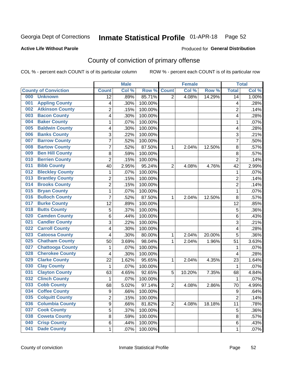## Inmate Statistical Profile 01-APR-18 Page 52

### **Active Life Without Parole**

#### Produced for General Distribution

## County of conviction of primary offense

COL % - percent each COUNT is of its particular column

|     |                             |                | <b>Male</b> |         |                | <b>Female</b> |        |                | <b>Total</b> |
|-----|-----------------------------|----------------|-------------|---------|----------------|---------------|--------|----------------|--------------|
|     | <b>County of Conviction</b> | <b>Count</b>   | Col %       | Row %   | <b>Count</b>   | Col %         | Row %  | <b>Total</b>   | Col %        |
| 000 | <b>Unknown</b>              | 12             | .89%        | 85.71%  | $\overline{2}$ | 4.08%         | 14.29% | 14             | 1.00%        |
| 001 | <b>Appling County</b>       | 4              | .30%        | 100.00% |                |               |        | 4              | .28%         |
| 002 | <b>Atkinson County</b>      | $\overline{c}$ | .15%        | 100.00% |                |               |        | $\overline{2}$ | .14%         |
| 003 | <b>Bacon County</b>         | 4              | .30%        | 100.00% |                |               |        | 4              | .28%         |
| 004 | <b>Baker County</b>         | $\mathbf{1}$   | .07%        | 100.00% |                |               |        | 1              | .07%         |
| 005 | <b>Baldwin County</b>       | 4              | .30%        | 100.00% |                |               |        | 4              | .28%         |
| 006 | <b>Banks County</b>         | 3              | .22%        | 100.00% |                |               |        | 3              | .21%         |
| 007 | <b>Barrow County</b>        | $\overline{7}$ | .52%        | 100.00% |                |               |        | 7              | .50%         |
| 008 | <b>Bartow County</b>        | 7              | .52%        | 87.50%  | 1              | 2.04%         | 12.50% | 8              | .57%         |
| 009 | <b>Ben Hill County</b>      | 8              | .59%        | 100.00% |                |               |        | 8              | .57%         |
| 010 | <b>Berrien County</b>       | $\overline{c}$ | .15%        | 100.00% |                |               |        | $\overline{2}$ | .14%         |
| 011 | <b>Bibb County</b>          | 40             | 2.95%       | 95.24%  | $\overline{2}$ | 4.08%         | 4.76%  | 42             | 2.99%        |
| 012 | <b>Bleckley County</b>      | $\mathbf{1}$   | .07%        | 100.00% |                |               |        | $\mathbf{1}$   | .07%         |
| 013 | <b>Brantley County</b>      | $\overline{2}$ | .15%        | 100.00% |                |               |        | $\overline{2}$ | .14%         |
| 014 | <b>Brooks County</b>        | $\overline{c}$ | .15%        | 100.00% |                |               |        | $\overline{2}$ | .14%         |
| 015 | <b>Bryan County</b>         | $\mathbf{1}$   | .07%        | 100.00% |                |               |        | $\mathbf{1}$   | .07%         |
| 016 | <b>Bulloch County</b>       | 7              | .52%        | 87.50%  | 1              | 2.04%         | 12.50% | 8              | .57%         |
| 017 | <b>Burke County</b>         | 12             | .89%        | 100.00% |                |               |        | 12             | .85%         |
| 018 | <b>Butts County</b>         | 5              | .37%        | 100.00% |                |               |        | 5              | .36%         |
| 020 | <b>Camden County</b>        | 6              | .44%        | 100.00% |                |               |        | 6              | .43%         |
| 021 | <b>Candler County</b>       | 3              | .22%        | 100.00% |                |               |        | 3              | .21%         |
| 022 | <b>Carroll County</b>       | 4              | .30%        | 100.00% |                |               |        | 4              | .28%         |
| 023 | <b>Catoosa County</b>       | 4              | .30%        | 80.00%  | 1              | 2.04%         | 20.00% | 5              | .36%         |
| 025 | <b>Chatham County</b>       | 50             | 3.69%       | 98.04%  | 1              | 2.04%         | 1.96%  | 51             | 3.63%        |
| 027 | <b>Chattooga County</b>     | $\mathbf{1}$   | .07%        | 100.00% |                |               |        | 1              | .07%         |
| 028 | <b>Cherokee County</b>      | 4              | .30%        | 100.00% |                |               |        | 4              | .28%         |
| 029 | <b>Clarke County</b>        | 22             | 1.62%       | 95.65%  | 1              | 2.04%         | 4.35%  | 23             | 1.64%        |
| 030 | <b>Clay County</b>          | 1              | .07%        | 100.00% |                |               |        | 1              | .07%         |
| 031 | <b>Clayton County</b>       | 63             | 4.65%       | 92.65%  | 5              | 10.20%        | 7.35%  | 68             | 4.84%        |
| 032 | <b>Clinch County</b>        | $\mathbf{1}$   | .07%        | 100.00% |                |               |        | $\mathbf{1}$   | .07%         |
| 033 | <b>Cobb County</b>          | 68             | 5.02%       | 97.14%  | $\overline{2}$ | 4.08%         | 2.86%  | 70             | 4.99%        |
| 034 | <b>Coffee County</b>        | 9              | .66%        | 100.00% |                |               |        | 9              | .64%         |
| 035 | <b>Colquitt County</b>      | 2              | .15%        | 100.00% |                |               |        | $\overline{2}$ | .14%         |
| 036 | <b>Columbia County</b>      | 9              | .66%        | 81.82%  | $\overline{2}$ | 4.08%         | 18.18% | 11             | .78%         |
| 037 | <b>Cook County</b>          | 5              | .37%        | 100.00% |                |               |        | 5              | .36%         |
| 038 | <b>Coweta County</b>        | 8              | .59%        | 100.00% |                |               |        | 8              | .57%         |
| 040 | <b>Crisp County</b>         | 6              | .44%        | 100.00% |                |               |        | 6              | .43%         |
| 041 | <b>Dade County</b>          | 1              | .07%        | 100.00% |                |               |        | 1              | .07%         |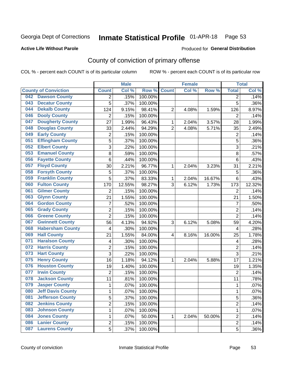## Inmate Statistical Profile 01-APR-18 Page 53

### **Active Life Without Parole**

#### Produced for General Distribution

## County of conviction of primary offense

COL % - percent each COUNT is of its particular column

|                                 |                | <b>Male</b>            |                  |                | <b>Female</b> |        |                | <b>Total</b> |
|---------------------------------|----------------|------------------------|------------------|----------------|---------------|--------|----------------|--------------|
| <b>County of Conviction</b>     | <b>Count</b>   | Col %                  | Row <sup>%</sup> | <b>Count</b>   | Col %         | Row %  | <b>Total</b>   | Col %        |
| <b>Dawson County</b><br>042     |                | .15%<br>2              | 100.00%          |                |               |        | 2              | .14%         |
| <b>Decatur County</b><br>043    | 5              | .37%                   | 100.00%          |                |               |        | 5              | .36%         |
| <b>Dekalb County</b><br>044     | 124            | 9.15%                  | 98.41%           | $\overline{2}$ | 4.08%         | 1.59%  | 126            | 8.97%        |
| <b>Dooly County</b><br>046      | $\overline{2}$ | .15%                   | 100.00%          |                |               |        | 2              | .14%         |
| <b>Dougherty County</b><br>047  | 27             | 1.99%                  | 96.43%           | 1              | 2.04%         | 3.57%  | 28             | 1.99%        |
| <b>Douglas County</b><br>048    | 33             | 2.44%                  | 94.29%           | $\overline{2}$ | 4.08%         | 5.71%  | 35             | 2.49%        |
| <b>Early County</b><br>049      | $\overline{c}$ | .15%                   | 100.00%          |                |               |        | $\overline{2}$ | .14%         |
| <b>Effingham County</b><br>051  |                | 5<br>.37%              | 100.00%          |                |               |        | 5              | .36%         |
| <b>Elbert County</b><br>052     |                | 3<br>.22%              | 100.00%          |                |               |        | 3              | .21%         |
| <b>Emanuel County</b><br>053    | 8              | .59%                   | 100.00%          |                |               |        | 8              | .57%         |
| <b>Fayette County</b><br>056    | 6              | .44%                   | 100.00%          |                |               |        | 6              | .43%         |
| <b>Floyd County</b><br>057      | 30             | 2.21%                  | 96.77%           | 1              | 2.04%         | 3.23%  | 31             | 2.21%        |
| <b>Forsyth County</b><br>058    | 5              | .37%                   | 100.00%          |                |               |        | 5              | .36%         |
| <b>Franklin County</b><br>059   | 5              | .37%                   | 83.33%           | 1              | 2.04%         | 16.67% | 6              | .43%         |
| <b>Fulton County</b><br>060     | 170            | 12.55%                 | 98.27%           | 3              | 6.12%         | 1.73%  | 173            | 12.32%       |
| <b>Gilmer County</b><br>061     | $\overline{2}$ | .15%                   | 100.00%          |                |               |        | 2              | .14%         |
| <b>Glynn County</b><br>063      | 21             | 1.55%                  | 100.00%          |                |               |        | 21             | 1.50%        |
| <b>Gordon County</b><br>064     | 7              | .52%                   | 100.00%          |                |               |        | $\overline{7}$ | .50%         |
| <b>Grady County</b><br>065      | $\overline{c}$ | .15%                   | 100.00%          |                |               |        | $\overline{2}$ | .14%         |
| <b>Greene County</b><br>066     | $\overline{2}$ | .15%                   | 100.00%          |                |               |        | $\overline{2}$ | .14%         |
| <b>Gwinnett County</b><br>067   | 56             | 4.13%                  | 94.92%           | 3              | 6.12%         | 5.08%  | 59             | 4.20%        |
| <b>Habersham County</b><br>068  | 4              | .30%                   | 100.00%          |                |               |        | 4              | .28%         |
| <b>Hall County</b><br>069       | 21             | 1.55%                  | 84.00%           | 4              | 8.16%         | 16.00% | 25             | 1.78%        |
| <b>Haralson County</b><br>071   | 4              | .30%                   | 100.00%          |                |               |        | 4              | .28%         |
| <b>Harris County</b><br>072     |                | 2<br>.15%              | 100.00%          |                |               |        | $\overline{2}$ | .14%         |
| <b>Hart County</b><br>073       | 3              | .22%                   | 100.00%          |                |               |        | 3              | .21%         |
| <b>Henry County</b><br>075      | 16             | 1.18%                  | 94.12%           | 1              | 2.04%         | 5.88%  | 17             | 1.21%        |
| <b>Houston County</b><br>076    | 19             | 1.40%                  | 100.00%          |                |               |        | 19             | 1.35%        |
| <b>Irwin County</b><br>077      | $\overline{2}$ | .15%                   | 100.00%          |                |               |        | $\overline{2}$ | .14%         |
| <b>Jackson County</b><br>078    | 11             | .81%                   | 100.00%          |                |               |        | 11             | .78%         |
| <b>Jasper County</b><br>079     | $\mathbf{1}$   | .07%                   | 100.00%          |                |               |        | 1              | .07%         |
| <b>Jeff Davis County</b><br>080 |                | 1<br>.07%              | 100.00%          |                |               |        | 1              | $.07\%$      |
| <b>Jefferson County</b><br>081  |                | 5<br>.37%              | 100.00%          |                |               |        | 5              | .36%         |
| <b>Jenkins County</b><br>082    |                | $\overline{2}$<br>.15% | 100.00%          |                |               |        | $\overline{2}$ | .14%         |
| <b>Johnson County</b><br>083    |                | $\mathbf{1}$<br>.07%   | 100.00%          |                |               |        | $\mathbf{1}$   | .07%         |
| <b>Jones County</b><br>084      |                | 1<br>.07%              | 50.00%           | 1              | 2.04%         | 50.00% | $\overline{c}$ | .14%         |
| <b>Lanier County</b><br>086     | $\overline{c}$ | .15%                   | 100.00%          |                |               |        | $\overline{2}$ | .14%         |
| <b>Laurens County</b><br>087    |                | $\overline{5}$<br>.37% | 100.00%          |                |               |        | 5              | .36%         |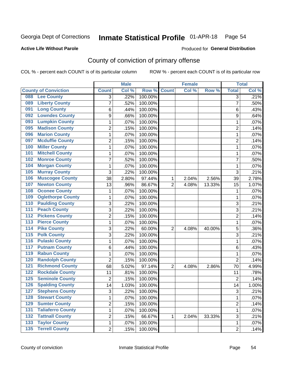## Inmate Statistical Profile 01-APR-18 Page 54

### **Active Life Without Parole**

#### Produced for General Distribution

## County of conviction of primary offense

COL % - percent each COUNT is of its particular column

|                  |                             |                | <b>Male</b> |         |                | <b>Female</b> |        |                | <b>Total</b> |
|------------------|-----------------------------|----------------|-------------|---------|----------------|---------------|--------|----------------|--------------|
|                  | <b>County of Conviction</b> | <b>Count</b>   | Col %       | Row %   | <b>Count</b>   | Col %         | Row %  | <b>Total</b>   | Col %        |
| 088              | <b>Lee County</b>           | 3              | .22%        | 100.00% |                |               |        | 3              | .21%         |
| 089              | <b>Liberty County</b>       | 7              | .52%        | 100.00% |                |               |        | $\overline{7}$ | .50%         |
| 091              | <b>Long County</b>          | 6              | .44%        | 100.00% |                |               |        | 6              | .43%         |
| 092              | <b>Lowndes County</b>       | 9              | .66%        | 100.00% |                |               |        | 9              | .64%         |
| 093              | <b>Lumpkin County</b>       | 1              | .07%        | 100.00% |                |               |        | 1              | .07%         |
| 095              | <b>Madison County</b>       | $\overline{2}$ | .15%        | 100.00% |                |               |        | $\overline{2}$ | .14%         |
| 096              | <b>Marion County</b>        | $\mathbf{1}$   | .07%        | 100.00% |                |               |        | 1              | .07%         |
| 097              | <b>Mcduffie County</b>      | $\overline{2}$ | .15%        | 100.00% |                |               |        | $\overline{2}$ | .14%         |
| 100              | <b>Miller County</b>        | $\mathbf{1}$   | .07%        | 100.00% |                |               |        | $\mathbf{1}$   | .07%         |
| 101              | <b>Mitchell County</b>      | 1              | .07%        | 100.00% |                |               |        | $\mathbf{1}$   | .07%         |
| 102              | <b>Monroe County</b>        | $\overline{7}$ | .52%        | 100.00% |                |               |        | $\overline{7}$ | .50%         |
| 104              | <b>Morgan County</b>        | 1              | .07%        | 100.00% |                |               |        | 1              | .07%         |
| 105              | <b>Murray County</b>        | 3              | .22%        | 100.00% |                |               |        | 3              | .21%         |
| 106              | <b>Muscogee County</b>      | 38             | 2.80%       | 97.44%  | 1              | 2.04%         | 2.56%  | 39             | 2.78%        |
| 107              | <b>Newton County</b>        | 13             | .96%        | 86.67%  | $\overline{2}$ | 4.08%         | 13.33% | 15             | 1.07%        |
| 108              | <b>Oconee County</b>        | 1              | .07%        | 100.00% |                |               |        | 1              | .07%         |
| 109              | <b>Oglethorpe County</b>    | 1              | .07%        | 100.00% |                |               |        | 1              | .07%         |
| 110              | <b>Paulding County</b>      | 3              | .22%        | 100.00% |                |               |        | 3              | .21%         |
| 111              | <b>Peach County</b>         | 3              | .22%        | 100.00% |                |               |        | 3              | .21%         |
| 112              | <b>Pickens County</b>       | $\overline{2}$ | .15%        | 100.00% |                |               |        | $\overline{2}$ | .14%         |
| $\overline{113}$ | <b>Pierce County</b>        | $\mathbf{1}$   | .07%        | 100.00% |                |               |        | $\mathbf{1}$   | .07%         |
| 114              | <b>Pike County</b>          | 3              | .22%        | 60.00%  | $\overline{2}$ | 4.08%         | 40.00% | 5              | .36%         |
| 115              | <b>Polk County</b>          | 3              | .22%        | 100.00% |                |               |        | 3              | .21%         |
| 116              | <b>Pulaski County</b>       | $\mathbf{1}$   | .07%        | 100.00% |                |               |        | $\mathbf{1}$   | .07%         |
| 117              | <b>Putnam County</b>        | 6              | .44%        | 100.00% |                |               |        | 6              | .43%         |
| 119              | <b>Rabun County</b>         | $\mathbf{1}$   | .07%        | 100.00% |                |               |        | $\mathbf{1}$   | .07%         |
| 120              | <b>Randolph County</b>      | $\overline{2}$ | .15%        | 100.00% |                |               |        | $\overline{2}$ | .14%         |
| 121              | <b>Richmond County</b>      | 68             | 5.02%       | 97.14%  | $\overline{2}$ | 4.08%         | 2.86%  | 70             | 4.99%        |
| 122              | <b>Rockdale County</b>      | 11             | .81%        | 100.00% |                |               |        | 11             | .78%         |
| 125              | <b>Seminole County</b>      | $\overline{2}$ | .15%        | 100.00% |                |               |        | $\overline{2}$ | .14%         |
| 126              | <b>Spalding County</b>      | 14             | 1.03%       | 100.00% |                |               |        | 14             | 1.00%        |
| 127              | <b>Stephens County</b>      | 3              | .22%        | 100.00% |                |               |        | 3              | .21%         |
| 128              | <b>Stewart County</b>       | 1              | .07%        | 100.00% |                |               |        | $\mathbf{1}$   | .07%         |
| 129              | <b>Sumter County</b>        | $\overline{c}$ | .15%        | 100.00% |                |               |        | $\overline{2}$ | .14%         |
| 131              | <b>Taliaferro County</b>    | 1              | .07%        | 100.00% |                |               |        | 1              | .07%         |
| 132              | <b>Tattnall County</b>      | $\overline{c}$ | .15%        | 66.67%  | 1              | 2.04%         | 33.33% | 3              | .21%         |
| 133              | <b>Taylor County</b>        | 1              | .07%        | 100.00% |                |               |        | $\mathbf 1$    | .07%         |
| $\overline{135}$ | <b>Terrell County</b>       | $\overline{2}$ | .15%        | 100.00% |                |               |        | $\overline{2}$ | .14%         |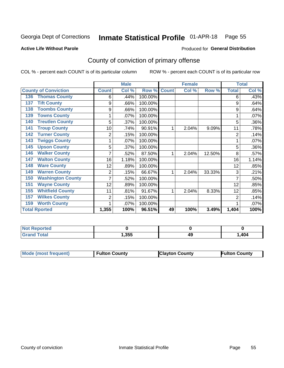#### Inmate Statistical Profile 01-APR-18 Page 55

### **Active Life Without Parole**

#### Produced for General Distribution

## County of conviction of primary offense

COL % - percent each COUNT is of its particular column

|                                 |                | <b>Male</b> |         |              | <b>Female</b> |        |                | <b>Total</b> |
|---------------------------------|----------------|-------------|---------|--------------|---------------|--------|----------------|--------------|
| <b>County of Conviction</b>     | <b>Count</b>   | Col %       | Row %   | <b>Count</b> | Col %         | Row %  | <b>Total</b>   | Col %        |
| <b>Thomas County</b><br>136     | 6              | .44%        | 100.00% |              |               |        | 6              | .43%         |
| <b>Tift County</b><br>137       | 9              | .66%        | 100.00% |              |               |        | 9              | .64%         |
| <b>Toombs County</b><br>138     | 9              | .66%        | 100.00% |              |               |        | 9              | .64%         |
| <b>Towns County</b><br>139      |                | .07%        | 100.00% |              |               |        |                | .07%         |
| <b>Treutlen County</b><br>140   | 5              | .37%        | 100.00% |              |               |        | 5              | .36%         |
| <b>Troup County</b><br>141      | 10             | .74%        | 90.91%  | 1            | 2.04%         | 9.09%  | 11             | .78%         |
| <b>Turner County</b><br>142     | $\overline{2}$ | .15%        | 100.00% |              |               |        | $\overline{2}$ | .14%         |
| <b>Twiggs County</b><br>143     |                | .07%        | 100.00% |              |               |        |                | .07%         |
| <b>Upson County</b><br>145      | 5              | .37%        | 100.00% |              |               |        | 5              | .36%         |
| <b>Walker County</b><br>146     | 7              | .52%        | 87.50%  | 1            | 2.04%         | 12.50% | 8              | .57%         |
| <b>Walton County</b><br>147     | 16             | 1.18%       | 100.00% |              |               |        | 16             | 1.14%        |
| <b>Ware County</b><br>148       | 12             | .89%        | 100.00% |              |               |        | 12             | .85%         |
| <b>Warren County</b><br>149     | $\overline{2}$ | .15%        | 66.67%  |              | 2.04%         | 33.33% | 3              | .21%         |
| <b>Washington County</b><br>150 |                | .52%        | 100.00% |              |               |        | 7              | .50%         |
| <b>Wayne County</b><br>151      | 12             | .89%        | 100.00% |              |               |        | 12             | .85%         |
| <b>Whitfield County</b><br>155  | 11             | .81%        | 91.67%  | 1            | 2.04%         | 8.33%  | 12             | .85%         |
| <b>Wilkes County</b><br>157     | $\overline{2}$ | .15%        | 100.00% |              |               |        | 2              | .14%         |
| <b>Worth County</b><br>159      |                | .07%        | 100.00% |              |               |        |                | .07%         |
| <b>Total Rported</b>            | 1,355          | 100%        | 96.51%  | 49           | 100%          | 3.49%  | 1,404          | 100%         |

| тео |      |    |      |
|-----|------|----|------|
|     | ,355 | 45 | .404 |

| <b>Mode (most frequent)</b> | <b>Fulton County</b> | <b>Clayton County</b> | <b>Fulton County</b> |
|-----------------------------|----------------------|-----------------------|----------------------|
|                             |                      |                       |                      |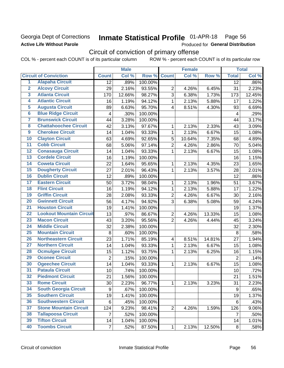## Georgia Dept of Corrections **Active Life Without Parole**

#### Inmate Statistical Profile 01-APR-18 Page 56

Produced for General Distribution

## Circuit of conviction of primary offense

|                         |                                 |                  | <b>Male</b> |         |                         | <b>Female</b> |        |                  | <b>Total</b> |
|-------------------------|---------------------------------|------------------|-------------|---------|-------------------------|---------------|--------|------------------|--------------|
|                         | <b>Circuit of Conviction</b>    | <b>Count</b>     | Col %       | Row %   | <b>Count</b>            | Col %         | Row %  | <b>Total</b>     | Col %        |
| 1                       | <b>Alapaha Circuit</b>          | $\overline{12}$  | .89%        | 100.00% |                         |               |        | 12               | .86%         |
| $\overline{2}$          | <b>Alcovy Circuit</b>           | 29               | 2.16%       | 93.55%  | $\overline{2}$          | 4.26%         | 6.45%  | 31               | 2.23%        |
| $\overline{3}$          | <b>Atlanta Circuit</b>          | 170              | 12.66%      | 98.27%  | 3                       | 6.38%         | 1.73%  | 173              | 12.45%       |
| 4                       | <b>Atlantic Circuit</b>         | 16               | 1.19%       | 94.12%  | 1                       | 2.13%         | 5.88%  | 17               | 1.22%        |
| $\overline{5}$          | <b>Augusta Circuit</b>          | 89               | 6.63%       | 95.70%  | $\overline{4}$          | 8.51%         | 4.30%  | 93               | 6.69%        |
| $\overline{\bf{6}}$     | <b>Blue Ridge Circuit</b>       | 4                | .30%        | 100.00% |                         |               |        | 4                | .29%         |
| 7                       | <b>Brunswick Circuit</b>        | 44               | 3.28%       | 100.00% |                         |               |        | 44               | 3.17%        |
| $\overline{\mathbf{8}}$ | <b>Chattahoochee Circuit</b>    | 42               | 3.13%       | 97.67%  | 1                       | 2.13%         | 2.33%  | 43               | 3.09%        |
| $\overline{9}$          | <b>Cherokee Circuit</b>         | 14               | 1.04%       | 93.33%  | 1                       | 2.13%         | 6.67%  | 15               | 1.08%        |
| 10                      | <b>Clayton Circuit</b>          | 63               | 4.69%       | 92.65%  | 5                       | 10.64%        | 7.35%  | 68               | 4.89%        |
| $\overline{11}$         | <b>Cobb Circuit</b>             | 68               | 5.06%       | 97.14%  | $\overline{2}$          | 4.26%         | 2.86%  | 70               | 5.04%        |
| $\overline{12}$         | <b>Conasauga Circuit</b>        | 14               | 1.04%       | 93.33%  | 1                       | 2.13%         | 6.67%  | 15               | 1.08%        |
| 13                      | <b>Cordele Circuit</b>          | 16               | 1.19%       | 100.00% |                         |               |        | 16               | 1.15%        |
| 14                      | <b>Coweta Circuit</b>           | 22               | 1.64%       | 95.65%  | 1                       | 2.13%         | 4.35%  | 23               | 1.65%        |
| $\overline{15}$         | <b>Dougherty Circuit</b>        | 27               | 2.01%       | 96.43%  | 1                       | 2.13%         | 3.57%  | 28               | 2.01%        |
| 16                      | <b>Dublin Circuit</b>           | 12               | .89%        | 100.00% |                         |               |        | 12               | .86%         |
| 17                      | <b>Eastern Circuit</b>          | 50               | 3.72%       | 98.04%  | 1                       | 2.13%         | 1.96%  | 51               | 3.67%        |
| $\overline{18}$         | <b>Flint Circuit</b>            | 16               | 1.19%       | 94.12%  | 1                       | 2.13%         | 5.88%  | 17               | 1.22%        |
| 19                      | <b>Griffin Circuit</b>          | 28               | 2.08%       | 93.33%  | $\overline{2}$          | 4.26%         | 6.67%  | 30               | 2.16%        |
| $\overline{20}$         | <b>Gwinnett Circuit</b>         | 56               | 4.17%       | 94.92%  | 3                       | 6.38%         | 5.08%  | 59               | 4.24%        |
| $\overline{21}$         | <b>Houston Circuit</b>          | 19               | 1.41%       | 100.00% |                         |               |        | 19               | 1.37%        |
| $\overline{22}$         | <b>Lookout Mountain Circuit</b> | 13               | .97%        | 86.67%  | $\overline{2}$          | 4.26%         | 13.33% | 15               | 1.08%        |
| 23                      | <b>Macon Circuit</b>            | 43               | 3.20%       | 95.56%  | $\overline{2}$          | 4.26%         | 4.44%  | 45               | 3.24%        |
| $\overline{24}$         | <b>Middle Circuit</b>           | 32               | 2.38%       | 100.00% |                         |               |        | 32               | 2.30%        |
| $\overline{25}$         | <b>Mountain Circuit</b>         | 8                | .60%        | 100.00% |                         |               |        | $\,8\,$          | .58%         |
| 26                      | <b>Northeastern Circuit</b>     | 23               | 1.71%       | 85.19%  | $\overline{\mathbf{4}}$ | 8.51%         | 14.81% | 27               | 1.94%        |
| $\overline{27}$         | <b>Northern Circuit</b>         | 14               | 1.04%       | 93.33%  | 1                       | 2.13%         | 6.67%  | 15               | 1.08%        |
| 28                      | <b>Ocmulgee Circuit</b>         | 15               | 1.12%       | 93.75%  | 1                       | 2.13%         | 6.25%  | 16               | 1.15%        |
| 29                      | <b>Oconee Circuit</b>           | $\overline{2}$   | .15%        | 100.00% |                         |               |        | $\overline{2}$   | .14%         |
| 30                      | <b>Ogeechee Circuit</b>         | 14               | 1.04%       | 93.33%  | 1                       | 2.13%         | 6.67%  | 15               | 1.08%        |
| $\overline{31}$         | <b>Pataula Circuit</b>          | 10               | .74%        | 100.00% |                         |               |        | 10               | .72%         |
| 32                      | <b>Piedmont Circuit</b>         | 21               | 1.56%       | 100.00% |                         |               |        | 21               | 1.51%        |
| 33                      | <b>Rome Circuit</b>             | 30               | 2.23%       | 96.77%  | $\mathbf{1}$            | 2.13%         | 3.23%  | 31               | 2.23%        |
| 34                      | <b>South Georgia Circuit</b>    | $\boldsymbol{9}$ | .67%        | 100.00% |                         |               |        | $\boldsymbol{9}$ | .65%         |
| 35                      | <b>Southern Circuit</b>         | 19               | 1.41%       | 100.00% |                         |               |        | 19               | 1.37%        |
| 36                      | <b>Southwestern Circuit</b>     | 6                | .45%        | 100.00% |                         |               |        | 6                | .43%         |
| 37                      | <b>Stone Mountain Circuit</b>   | 124              | 9.23%       | 98.41%  | $\overline{2}$          | 4.26%         | 1.59%  | 126              | 9.06%        |
| 38                      | <b>Tallapoosa Circuit</b>       | $\overline{7}$   | .52%        | 100.00% |                         |               |        | 7                | .50%         |
| 39                      | <b>Tifton Circuit</b>           | 14               | 1.04%       | 100.00% |                         |               |        | 14               | 1.01%        |
| 40                      | <b>Toombs Circuit</b>           | $\overline{7}$   | .52%        | 87.50%  | $\mathbf{1}$            | 2.13%         | 12.50% | 8                | .58%         |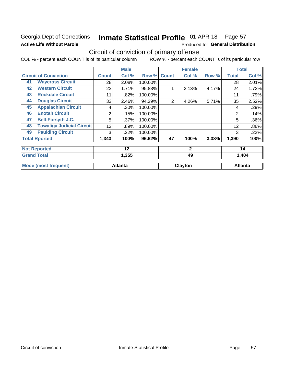## Georgia Dept of Corrections **Active Life Without Parole**

#### Inmate Statistical Profile 01-APR-18 Page 57

Produced for General Distribution

## Circuit of conviction of primary offense

|    |                                  |              | <b>Male</b>    |         |                | <b>Female</b> |       |              | <b>Total</b>   |
|----|----------------------------------|--------------|----------------|---------|----------------|---------------|-------|--------------|----------------|
|    | <b>Circuit of Conviction</b>     | <b>Count</b> | Col %          | Row %   | <b>Count</b>   | Col %         | Row % | <b>Total</b> | Col %          |
| 41 | <b>Waycross Circuit</b>          | 28           | 2.08%          | 100.00% |                |               |       | 28           | 2.01%          |
| 42 | <b>Western Circuit</b>           | 23           | 1.71%          | 95.83%  |                | 2.13%         | 4.17% | 24           | 1.73%          |
| 43 | <b>Rockdale Circuit</b>          | 11           | .82%           | 100.00% |                |               |       | 11           | .79%           |
| 44 | <b>Douglas Circuit</b>           | 33           | 2.46%          | 94.29%  | $\overline{2}$ | 4.26%         | 5.71% | 35           | 2.52%          |
| 45 | <b>Appalachian Circuit</b>       | 4            | .30%           | 100.00% |                |               |       | 4            | .29%           |
| 46 | <b>Enotah Circuit</b>            | 2            | .15%           | 100.00% |                |               |       | 2            | .14%           |
| 47 | <b>Bell-Forsyth J.C.</b>         | 5            | .37%           | 100.00% |                |               |       | 5            | .36%           |
| 48 | <b>Towaliga Judicial Circuit</b> | 12           | .89%           | 100.00% |                |               |       | 12           | .86%           |
| 49 | <b>Paulding Circuit</b>          | 3            | .22%           | 100.00% |                |               |       | 3            | .22%           |
|    | <b>Total Rported</b>             | 1,343        | 100%           | 96.62%  | 47             | 100%          | 3.38% | 1,390        | 100%           |
|    | <b>Not Reported</b>              |              | 12             |         |                | $\mathbf{2}$  |       |              | 14             |
|    | <b>Grand Total</b><br>1,355      |              |                |         | 49             |               | 1,404 |              |                |
|    | <b>Mode (most frequent)</b>      |              | <b>Atlanta</b> |         |                | Clayton       |       |              | <b>Atlanta</b> |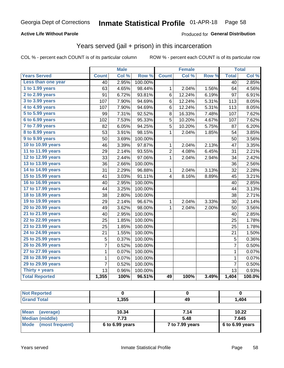## **Active Life Without Parole**

## **Produced for General Distribution**

## Years served (jail + prison) in this incarceration

COL % - percent each COUNT is of its particular column

|                       | <b>Male</b>     |       | <b>Female</b>    |                |        | <b>Total</b> |                 |        |
|-----------------------|-----------------|-------|------------------|----------------|--------|--------------|-----------------|--------|
| <b>Years Served</b>   | <b>Count</b>    | Col % | Row <sup>%</sup> | <b>Count</b>   | Col %  | Row %        | <b>Total</b>    | Col %  |
| Less than one year    | 40              | 2.95% | 100.00%          |                |        |              | $\overline{40}$ | 2.85%  |
| 1 to 1.99 years       | 63              | 4.65% | 98.44%           | 1              | 2.04%  | 1.56%        | 64              | 4.56%  |
| 2 to 2.99 years       | 91              | 6.72% | 93.81%           | 6              | 12.24% | 6.19%        | 97              | 6.91%  |
| 3 to 3.99 years       | 107             | 7.90% | 94.69%           | 6              | 12.24% | 5.31%        | 113             | 8.05%  |
| 4 to 4.99 years       | 107             | 7.90% | 94.69%           | 6              | 12.24% | 5.31%        | 113             | 8.05%  |
| 5 to 5.99 years       | 99              | 7.31% | 92.52%           | 8              | 16.33% | 7.48%        | 107             | 7.62%  |
| 6 to 6.99 years       | 102             | 7.53% | 95.33%           | 5              | 10.20% | 4.67%        | 107             | 7.62%  |
| 7 to 7.99 years       | 82              | 6.05% | 94.25%           | 5              | 10.20% | 5.75%        | 87              | 6.20%  |
| 8 to 8.99 years       | 53              | 3.91% | 98.15%           | 1              | 2.04%  | 1.85%        | 54              | 3.85%  |
| 9 to 9.99 years       | 50              | 3.69% | 100.00%          |                |        |              | 50              | 3.56%  |
| 10 to 10.99 years     | 46              | 3.39% | 97.87%           | 1              | 2.04%  | 2.13%        | 47              | 3.35%  |
| 11 to 11.99 years     | 29              | 2.14% | 93.55%           | $\overline{2}$ | 4.08%  | 6.45%        | 31              | 2.21%  |
| 12 to 12.99 years     | 33              | 2.44% | 97.06%           | 1              | 2.04%  | 2.94%        | 34              | 2.42%  |
| 13 to 13.99 years     | 36              | 2.66% | 100.00%          |                |        |              | 36              | 2.56%  |
| 14 to 14.99 years     | 31              | 2.29% | 96.88%           | 1              | 2.04%  | 3.13%        | 32              | 2.28%  |
| 15 to 15.99 years     | 41              | 3.03% | 91.11%           | 4              | 8.16%  | 8.89%        | 45              | 3.21%  |
| 16 to 16.99 years     | 40              | 2.95% | 100.00%          |                |        |              | 40              | 2.85%  |
| 17 to 17.99 years     | 44              | 3.25% | 100.00%          |                |        |              | 44              | 3.13%  |
| 18 to 18.99 years     | 38              | 2.80% | 100.00%          |                |        |              | 38              | 2.71%  |
| 19 to 19.99 years     | 29              | 2.14% | 96.67%           | 1              | 2.04%  | 3.33%        | 30              | 2.14%  |
| 20 to 20.99 years     | 49              | 3.62% | 98.00%           | 1              | 2.04%  | 2.00%        | 50              | 3.56%  |
| 21 to 21.99 years     | 40              | 2.95% | 100.00%          |                |        |              | 40              | 2.85%  |
| 22 to 22.99 years     | 25              | 1.85% | 100.00%          |                |        |              | 25              | 1.78%  |
| 23 to 23.99 years     | 25              | 1.85% | 100.00%          |                |        |              | 25              | 1.78%  |
| 24 to 24.99 years     | $\overline{21}$ | 1.55% | 100.00%          |                |        |              | 21              | 1.50%  |
| 25 to 25.99 years     | 5               | 0.37% | 100.00%          |                |        |              | 5               | 0.36%  |
| 26 to 26.99 years     | $\overline{7}$  | 0.52% | 100.00%          |                |        |              | $\overline{7}$  | 0.50%  |
| 27 to 27.99 years     | $\mathbf 1$     | 0.07% | 100.00%          |                |        |              | $\mathbf 1$     | 0.07%  |
| 28 to 28.99 years     | $\mathbf 1$     | 0.07% | 100.00%          |                |        |              | $\mathbf 1$     | 0.07%  |
| 29 to 29.99 years     | 7               | 0.52% | 100.00%          |                |        |              | 7               | 0.50%  |
| Thirty + years        | 13              | 0.96% | 100.00%          |                |        |              | 13              | 0.93%  |
| <b>Total Reported</b> | 1,355           | 100%  | 96.51%           | 49             | 100%   | 3.49%        | 1,404           | 100.0% |

| <b>No</b><br><b>Enorted</b> |       |    |      |
|-----------------------------|-------|----|------|
| <b>Total</b><br>Cro         | 1,355 | 49 | ,404 |
|                             |       |    |      |

| Mean<br>(average)       | 10.34             | 7.14            | 10.22             |
|-------------------------|-------------------|-----------------|-------------------|
| Median (middle)         | 7.73              | 5.48            | 7.645             |
| Mode<br>(most frequent) | $6$ to 6.99 years | 7 to 7.99 years | $6$ to 6.99 years |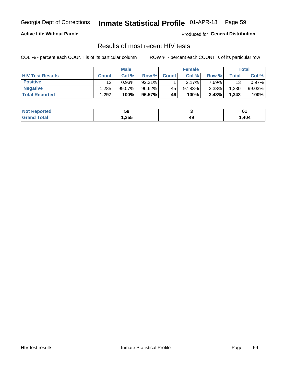#### Inmate Statistical Profile 01-APR-18 Page 59

## **Active Life Without Parole**

Produced for General Distribution

## Results of most recent HIV tests

COL % - percent each COUNT is of its particular column

|                         | <b>Male</b>  |           |        | <b>Female</b> |        |          | Total |        |
|-------------------------|--------------|-----------|--------|---------------|--------|----------|-------|--------|
| <b>HIV Test Results</b> | <b>Count</b> | Col %     | Row %I | <b>Count</b>  | Col %  | Row %    | Total | Col %  |
| <b>Positive</b>         | 12           | 0.93%     | 92.31% |               | 2.17%  | 7 69%∎   | 13    | 0.97%  |
| <b>Negative</b>         | .285         | $99.07\%$ | 96.62% | 45            | 97.83% | $3.38\%$ | 1,330 | 99.03% |
| <b>Total Reported</b>   | .297         | 100%      | 96.57% | <b>46</b>     | 100%   | 3.43%    | 1,343 | 100%   |

| ported<br>NOT.  | ວດ    |    | U.   |
|-----------------|-------|----|------|
| .′ota′<br>计直接控制 | 1,355 | 45 | ,404 |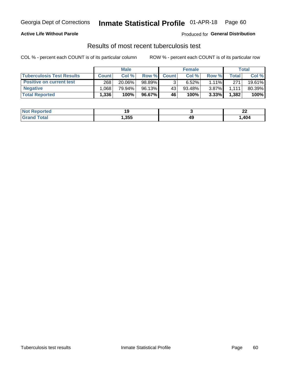## Georgia Dept of Corrections **Inmate Statistical Profile** 01-APR-18 Page 60

## **Active Life Without Parole**

Produced for **General Distribution**

## Results of most recent tuberculosis test

|                                  | <b>Male</b>  |        |        |              | <b>Female</b> | Total    |              |        |
|----------------------------------|--------------|--------|--------|--------------|---------------|----------|--------------|--------|
| <b>Tuberculosis Test Results</b> | <b>Count</b> | Col%   | Row %I | <b>Count</b> | Col %         | Row %    | <b>Total</b> | Col %  |
| <b>Positive on current test</b>  | 268          | 20.06% | 98.89% |              | 6.52%         | $1.11\%$ | 271          | 19.61% |
| <b>Negative</b>                  | .068         | 79.94% | 96.13% | 43           | $93.48\%$     | $3.87\%$ | 1.111        | 80.39% |
| <b>Total Reported</b>            | .336         | 100%   | 96.67% | 46           | 100%          | 3.33%    | 1,382        | 100%   |

| <b>Not Reported</b> |       |    | n,<br>---<br>$-$ |
|---------------------|-------|----|------------------|
| <b>Fotal</b>        | , 355 | 49 | ,404             |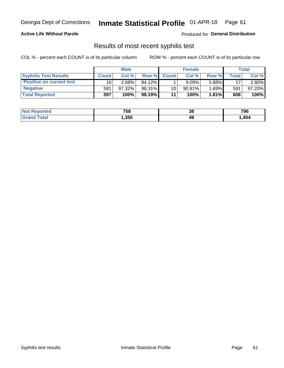## Georgia Dept of Corrections **Inmate Statistical Profile** 01-APR-18 Page 61

## **Active Life Without Parole**

Produced for **General Distribution**

## Results of most recent syphilis test

|                                 | <b>Male</b>  |        |           | <b>Female</b> |           |          | Total   |        |
|---------------------------------|--------------|--------|-----------|---------------|-----------|----------|---------|--------|
| <b>Syphilis Test Results</b>    | <b>Count</b> | Col%   | Row %     | <b>Count</b>  | Col %     | Row %I   | Total i | Col %  |
| <b>Positive on current test</b> | 16           | 2.68%  | $94.12\%$ |               | 9.09%     | 5.88%    | 17      | 2.80%  |
| <b>Negative</b>                 | 581          | 97.32% | 98.31%    | 10            | $90.91\%$ | 1.69%∎   | 591     | 97.20% |
| <b>Total Reported</b>           | 597          | 100%   | 98.19%    | 11            | 100%      | $1.81\%$ | 608     | 100%   |

| <b>Not Reported</b> | 758  | 38 | 796  |
|---------------------|------|----|------|
| Total               | ,355 | 49 | ,404 |